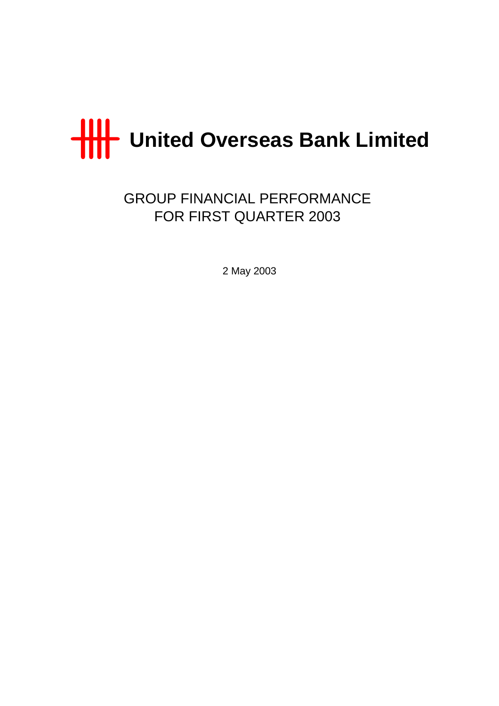

GROUP FINANCIAL PERFORMANCE FOR FIRST QUARTER 2003

2 May 2003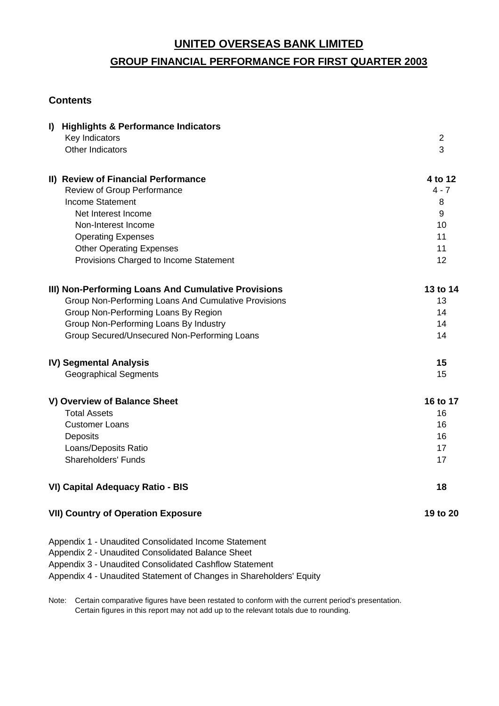# **GROUP FINANCIAL PERFORMANCE FOR FIRST QUARTER 2003**

# **Contents**

| <b>Highlights &amp; Performance Indicators</b><br>$\mathbf{I}$      |                |
|---------------------------------------------------------------------|----------------|
| Key Indicators                                                      | $\overline{2}$ |
| Other Indicators                                                    | 3              |
| II) Review of Financial Performance                                 | 4 to 12        |
| Review of Group Performance                                         | $4 - 7$        |
| Income Statement                                                    | 8              |
| Net Interest Income                                                 | 9              |
| Non-Interest Income                                                 | 10             |
| <b>Operating Expenses</b>                                           | 11             |
| <b>Other Operating Expenses</b>                                     | 11             |
| Provisions Charged to Income Statement                              | 12             |
| III) Non-Performing Loans And Cumulative Provisions                 | 13 to 14       |
| Group Non-Performing Loans And Cumulative Provisions                | 13             |
| Group Non-Performing Loans By Region                                | 14             |
| Group Non-Performing Loans By Industry                              | 14             |
| Group Secured/Unsecured Non-Performing Loans                        | 14             |
| <b>IV) Segmental Analysis</b>                                       | 15             |
| <b>Geographical Segments</b>                                        | 15             |
| V) Overview of Balance Sheet                                        | 16 to 17       |
| <b>Total Assets</b>                                                 | 16             |
| <b>Customer Loans</b>                                               | 16             |
| Deposits                                                            | 16             |
| Loans/Deposits Ratio                                                | 17             |
| <b>Shareholders' Funds</b>                                          | 17             |
| VI) Capital Adequacy Ratio - BIS                                    | 18             |
| <b>VII) Country of Operation Exposure</b>                           | 19 to 20       |
| Appendix 1 - Unaudited Consolidated Income Statement                |                |
| Appendix 2 - Unaudited Consolidated Balance Sheet                   |                |
| Appendix 3 - Unaudited Consolidated Cashflow Statement              |                |
| Appendix 4 - Unaudited Statement of Changes in Shareholders' Equity |                |

Note: Certain comparative figures have been restated to conform with the current period's presentation. Certain figures in this report may not add up to the relevant totals due to rounding.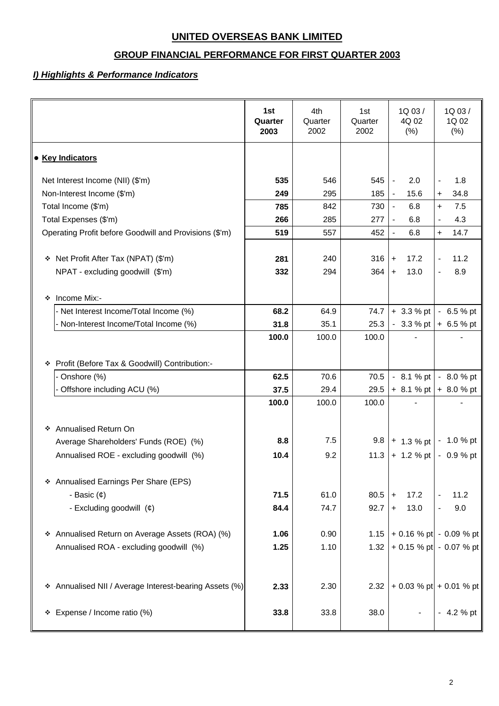# **GROUP FINANCIAL PERFORMANCE FOR FIRST QUARTER 2003**

# *I) Highlights & Performance Indicators*

|                                                        | 1st<br>Quarter<br>2003 | 4th<br>Quarter<br>2002 | 1st<br>Quarter<br>2002 | 1Q03/<br>4Q 02<br>(% )          | 1Q 03/<br>1Q 02<br>(% )         |
|--------------------------------------------------------|------------------------|------------------------|------------------------|---------------------------------|---------------------------------|
| <b>• Key Indicators</b>                                |                        |                        |                        |                                 |                                 |
| Net Interest Income (NII) (\$'m)                       | 535                    | 546                    | 545                    | 2.0<br>$\blacksquare$           | 1.8<br>$\overline{\phantom{a}}$ |
| Non-Interest Income (\$'m)                             | 249                    | 295                    | 185                    | 15.6<br>$\blacksquare$          | 34.8<br>$\ddot{}$               |
| Total Income (\$'m)                                    | 785                    | 842                    | 730                    | 6.8<br>$\blacksquare$           | 7.5<br>+                        |
| Total Expenses (\$'m)                                  | 266                    | 285                    | 277                    | 6.8<br>$\blacksquare$           | 4.3<br>$\overline{\phantom{a}}$ |
| Operating Profit before Goodwill and Provisions (\$'m) | 519                    | 557                    | 452                    | $\blacksquare$<br>6.8           | 14.7<br>$\ddot{}$               |
| ❖ Net Profit After Tax (NPAT) (\$'m)                   | 281                    | 240                    | 316                    | 17.2<br>$\ddot{}$               | 11.2                            |
| NPAT - excluding goodwill (\$'m)                       | 332                    | 294                    | 364                    | 13.0<br>$\ddot{}$               | 8.9                             |
| Income Mix:-<br>❖                                      |                        |                        |                        |                                 |                                 |
| - Net Interest Income/Total Income (%)                 | 68.2                   | 64.9                   | 74.7                   | $+3.3%$ pt                      | $-6.5%$ pt                      |
| - Non-Interest Income/Total Income (%)                 | 31.8                   | 35.1                   | 25.3                   |                                 | $-3.3\%$ pt + 6.5 % pt          |
|                                                        | 100.0                  | 100.0                  | 100.0                  |                                 |                                 |
| Profit (Before Tax & Goodwill) Contribution:-<br>❖     |                        |                        |                        |                                 |                                 |
| - Onshore (%)                                          | 62.5                   | 70.6                   | 70.5                   |                                 | $-8.1 \%$ pt $-8.0 \%$ pt       |
| Offshore including ACU (%)                             | 37.5                   | 29.4                   | 29.5                   |                                 | $+ 8.1 % pt \rvert + 8.0 % pt$  |
|                                                        | 100.0                  | 100.0                  | 100.0                  |                                 |                                 |
|                                                        |                        |                        |                        |                                 |                                 |
| ❖ Annualised Return On                                 |                        |                        |                        |                                 |                                 |
| Average Shareholders' Funds (ROE) (%)                  | 8.8                    | 7.5                    |                        | $9.8$   + 1.3 % pt   - 1.0 % pt |                                 |
| Annualised ROE - excluding goodwill (%)                | 10.4                   | 9.2                    | 11.3                   |                                 | + 1.2 % pt $\vert$ - 0.9 % pt   |
| * Annualised Earnings Per Share (EPS)                  |                        |                        |                        |                                 |                                 |
| - Basic $(\phi)$                                       | 71.5                   | 61.0                   | 80.5                   | 17.2<br>$\ddot{}$               | 11.2                            |
| - Excluding goodwill (¢)                               | 84.4                   | 74.7                   | 92.7                   | 13.0<br>$+$                     | 9.0                             |
|                                                        |                        |                        |                        |                                 |                                 |
| * Annualised Return on Average Assets (ROA) (%)        | 1.06                   | 0.90                   | 1.15                   |                                 | $+ 0.16 %$ pt $- 0.09 %$ pt     |
| Annualised ROA - excluding goodwill (%)                | 1.25                   | 1.10                   | 1.32                   |                                 | + 0.15 % pt - 0.07 % pt         |
|                                                        |                        |                        |                        |                                 |                                 |
| * Annualised NII / Average Interest-bearing Assets (%) | 2.33                   | 2.30                   | 2.32                   |                                 | $+ 0.03 \%$ pt + 0.01 % pt      |
| Expense / Income ratio (%)<br>❖                        | 33.8                   | 33.8                   | 38.0                   |                                 | $-4.2%$ pt                      |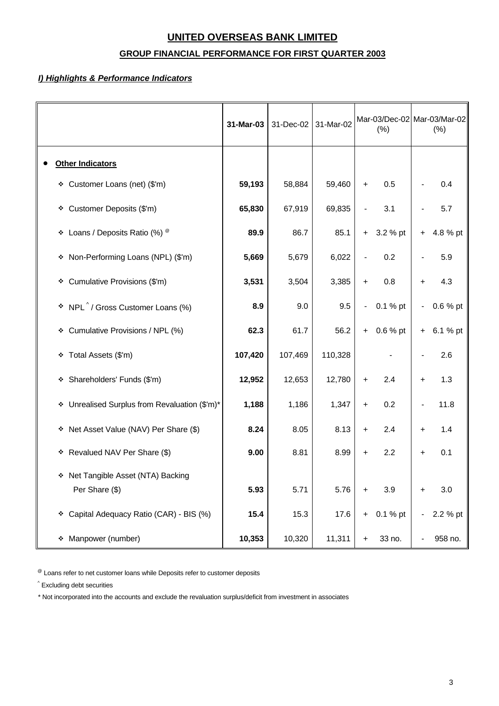# **GROUP FINANCIAL PERFORMANCE FOR FIRST QUARTER 2003**

## *I) Highlights & Performance Indicators*

|                                                      | 31-Mar-03 | 31-Dec-02 | 31-Mar-02 | Mar-03/Dec-02 Mar-03/Mar-02<br>(% ) |          |                              |          |  | (% ) |
|------------------------------------------------------|-----------|-----------|-----------|-------------------------------------|----------|------------------------------|----------|--|------|
| <b>Other Indicators</b>                              |           |           |           |                                     |          |                              |          |  |      |
| * Customer Loans (net) (\$'m)                        | 59,193    | 58,884    | 59,460    | $\ddot{}$                           | 0.5      |                              | 0.4      |  |      |
| Customer Deposits (\$'m)<br>۰                        | 65,830    | 67,919    | 69,835    |                                     | 3.1      |                              | 5.7      |  |      |
| Loans / Deposits Ratio (%) ®<br>۰                    | 89.9      | 86.7      | 85.1      | $+$                                 | 3.2 % pt | $\ddot{}$                    | 4.8 % pt |  |      |
| * Non-Performing Loans (NPL) (\$'m)                  | 5,669     | 5,679     | 6,022     |                                     | 0.2      |                              | 5.9      |  |      |
| Cumulative Provisions (\$'m)<br>❖                    | 3,531     | 3,504     | 3,385     | $\ddot{}$                           | 0.8      | $\ddot{}$                    | 4.3      |  |      |
| * NPL <sup>^</sup> / Gross Customer Loans (%)        | 8.9       | 9.0       | 9.5       | $\overline{\phantom{a}}$            | 0.1 % pt |                              | 0.6 % pt |  |      |
| Cumulative Provisions / NPL (%)<br>❖                 | 62.3      | 61.7      | 56.2      | $+$                                 | 0.6 % pt | $+$                          | 6.1 % pt |  |      |
| Total Assets (\$'m)<br>۰                             | 107,420   | 107,469   | 110,328   |                                     |          |                              | 2.6      |  |      |
| Shareholders' Funds (\$'m)<br>۰                      | 12,952    | 12,653    | 12,780    | $\ddot{}$                           | 2.4      | $\ddot{}$                    | 1.3      |  |      |
| Unrealised Surplus from Revaluation (\$'m)*<br>۰     | 1,188     | 1,186     | 1,347     | $\ddot{}$                           | 0.2      | $\qquad \qquad \blacksquare$ | 11.8     |  |      |
| Net Asset Value (NAV) Per Share (\$)<br>÷.           | 8.24      | 8.05      | 8.13      | $\ddot{}$                           | 2.4      | $\ddot{}$                    | 1.4      |  |      |
| Revalued NAV Per Share (\$)<br>۰                     | 9.00      | 8.81      | 8.99      | ÷.                                  | 2.2      | +                            | 0.1      |  |      |
| * Net Tangible Asset (NTA) Backing<br>Per Share (\$) | 5.93      | 5.71      | 5.76      | +                                   | 3.9      | ÷                            | 3.0      |  |      |
| Capital Adequacy Ratio (CAR) - BIS (%)<br>۰          | 15.4      | 15.3      | 17.6      | $+$                                 | 0.1 % pt |                              | 2.2 % pt |  |      |
| * Manpower (number)                                  | 10,353    | 10,320    | 11,311    | $\ddot{}$                           | 33 no.   |                              | 958 no.  |  |      |

 $^{\circledR}$  Loans refer to net customer loans while Deposits refer to customer deposits

^ Excluding debt securities

\* Not incorporated into the accounts and exclude the revaluation surplus/deficit from investment in associates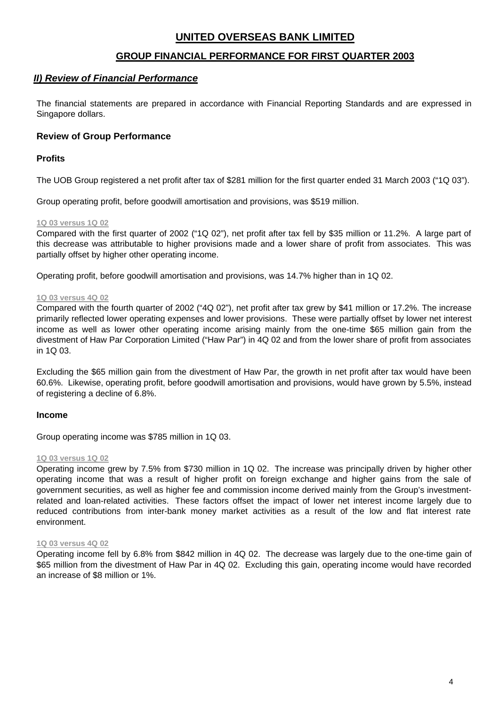## **GROUP FINANCIAL PERFORMANCE FOR FIRST QUARTER 2003**

## *II) Review of Financial Performance*

The financial statements are prepared in accordance with Financial Reporting Standards and are expressed in Singapore dollars.

## **Review of Group Performance**

## **Profits**

The UOB Group registered a net profit after tax of \$281 million for the first quarter ended 31 March 2003 ("1Q 03").

Group operating profit, before goodwill amortisation and provisions, was \$519 million.

#### **1Q 03 versus 1Q 02**

Compared with the first quarter of 2002 ("1Q 02"), net profit after tax fell by \$35 million or 11.2%. A large part of this decrease was attributable to higher provisions made and a lower share of profit from associates. This was partially offset by higher other operating income.

Operating profit, before goodwill amortisation and provisions, was 14.7% higher than in 1Q 02.

#### **1Q 03 versus 4Q 02**

Compared with the fourth quarter of 2002 ("4Q 02"), net profit after tax grew by \$41 million or 17.2%. The increase primarily reflected lower operating expenses and lower provisions. These were partially offset by lower net interest income as well as lower other operating income arising mainly from the one-time \$65 million gain from the divestment of Haw Par Corporation Limited ("Haw Par") in 4Q 02 and from the lower share of profit from associates in 1Q 03.

Excluding the \$65 million gain from the divestment of Haw Par, the growth in net profit after tax would have been 60.6%. Likewise, operating profit, before goodwill amortisation and provisions, would have grown by 5.5%, instead of registering a decline of 6.8%.

#### **Income**

Group operating income was \$785 million in 1Q 03.

#### **1Q 03 versus 1Q 02**

Operating income grew by 7.5% from \$730 million in 1Q 02. The increase was principally driven by higher other operating income that was a result of higher profit on foreign exchange and higher gains from the sale of government securities, as well as higher fee and commission income derived mainly from the Group's investmentrelated and loan-related activities. These factors offset the impact of lower net interest income largely due to reduced contributions from inter-bank money market activities as a result of the low and flat interest rate environment.

#### **1Q 03 versus 4Q 02**

Operating income fell by 6.8% from \$842 million in 4Q 02. The decrease was largely due to the one-time gain of \$65 million from the divestment of Haw Par in 4Q 02. Excluding this gain, operating income would have recorded an increase of \$8 million or 1%.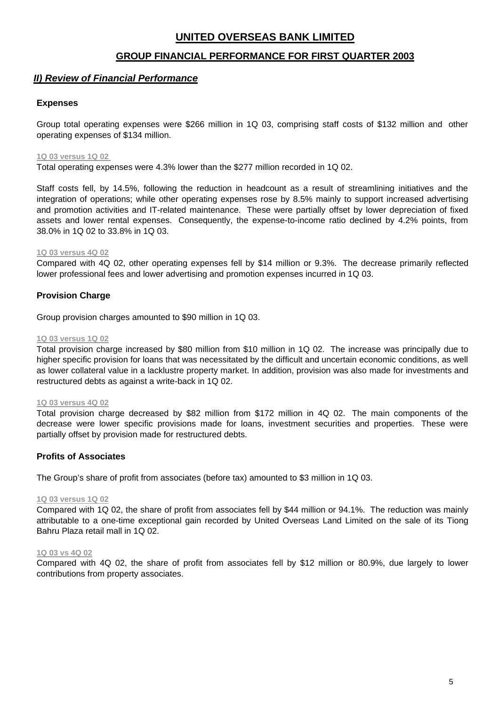## **GROUP FINANCIAL PERFORMANCE FOR FIRST QUARTER 2003**

## *II) Review of Financial Performance*

## **Expenses**

Group total operating expenses were \$266 million in 1Q 03, comprising staff costs of \$132 million and other operating expenses of \$134 million.

#### **1Q 03 versus 1Q 02**

Total operating expenses were 4.3% lower than the \$277 million recorded in 1Q 02.

Staff costs fell, by 14.5%, following the reduction in headcount as a result of streamlining initiatives and the integration of operations; while other operating expenses rose by 8.5% mainly to support increased advertising and promotion activities and IT-related maintenance. These were partially offset by lower depreciation of fixed assets and lower rental expenses. Consequently, the expense-to-income ratio declined by 4.2% points, from 38.0% in 1Q 02 to 33.8% in 1Q 03.

#### **1Q 03 versus 4Q 02**

Compared with 4Q 02, other operating expenses fell by \$14 million or 9.3%. The decrease primarily reflected lower professional fees and lower advertising and promotion expenses incurred in 1Q 03.

## **Provision Charge**

Group provision charges amounted to \$90 million in 1Q 03.

#### **1Q 03 versus 1Q 02**

Total provision charge increased by \$80 million from \$10 million in 1Q 02. The increase was principally due to higher specific provision for loans that was necessitated by the difficult and uncertain economic conditions, as well as lower collateral value in a lacklustre property market. In addition, provision was also made for investments and restructured debts as against a write-back in 1Q 02.

#### **1Q 03 versus 4Q 02**

Total provision charge decreased by \$82 million from \$172 million in 4Q 02. The main components of the decrease were lower specific provisions made for loans, investment securities and properties. These were partially offset by provision made for restructured debts.

#### **Profits of Associates**

The Group's share of profit from associates (before tax) amounted to \$3 million in 1Q 03.

#### **1Q 03 versus 1Q 02**

Compared with 1Q 02, the share of profit from associates fell by \$44 million or 94.1%. The reduction was mainly attributable to a one-time exceptional gain recorded by United Overseas Land Limited on the sale of its Tiong Bahru Plaza retail mall in 1Q 02.

#### **1Q 03 vs 4Q 02**

Compared with 4Q 02, the share of profit from associates fell by \$12 million or 80.9%, due largely to lower contributions from property associates.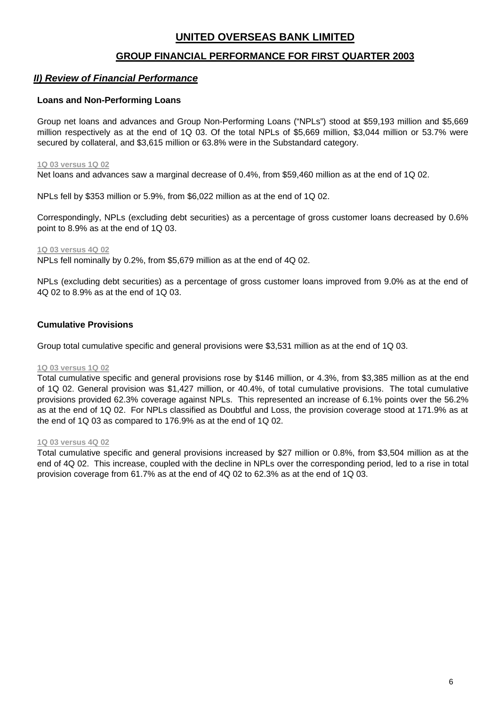## **GROUP FINANCIAL PERFORMANCE FOR FIRST QUARTER 2003**

## *II) Review of Financial Performance*

#### **Loans and Non-Performing Loans**

Group net loans and advances and Group Non-Performing Loans ("NPLs") stood at \$59,193 million and \$5,669 million respectively as at the end of 1Q 03. Of the total NPLs of \$5,669 million, \$3,044 million or 53.7% were secured by collateral, and \$3,615 million or 63.8% were in the Substandard category.

#### **1Q 03 versus 1Q 02**

Net loans and advances saw a marginal decrease of 0.4%, from \$59,460 million as at the end of 1Q 02.

NPLs fell by \$353 million or 5.9%, from \$6,022 million as at the end of 1Q 02.

Correspondingly, NPLs (excluding debt securities) as a percentage of gross customer loans decreased by 0.6% point to 8.9% as at the end of 1Q 03.

#### **1Q 03 versus 4Q 02**

NPLs fell nominally by 0.2%, from \$5,679 million as at the end of 4Q 02.

NPLs (excluding debt securities) as a percentage of gross customer loans improved from 9.0% as at the end of 4Q 02 to 8.9% as at the end of 1Q 03.

#### **Cumulative Provisions**

Group total cumulative specific and general provisions were \$3,531 million as at the end of 1Q 03.

#### **1Q 03 versus 1Q 02**

Total cumulative specific and general provisions rose by \$146 million, or 4.3%, from \$3,385 million as at the end of 1Q 02. General provision was \$1,427 million, or 40.4%, of total cumulative provisions. The total cumulative provisions provided 62.3% coverage against NPLs. This represented an increase of 6.1% points over the 56.2% as at the end of 1Q 02. For NPLs classified as Doubtful and Loss, the provision coverage stood at 171.9% as at the end of 1Q 03 as compared to 176.9% as at the end of 1Q 02.

#### **1Q 03 versus 4Q 02**

Total cumulative specific and general provisions increased by \$27 million or 0.8%, from \$3,504 million as at the end of 4Q 02. This increase, coupled with the decline in NPLs over the corresponding period, led to a rise in total provision coverage from 61.7% as at the end of 4Q 02 to 62.3% as at the end of 1Q 03.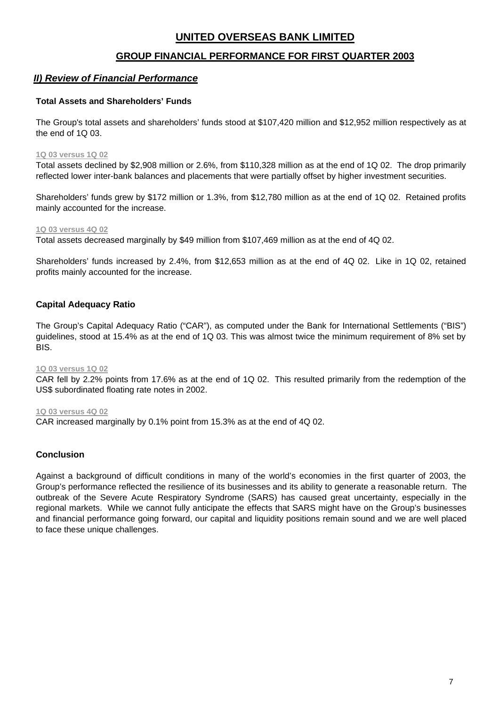## **GROUP FINANCIAL PERFORMANCE FOR FIRST QUARTER 2003**

## *II) Review of Financial Performance*

#### **Total Assets and Shareholders' Funds**

The Group's total assets and shareholders' funds stood at \$107,420 million and \$12,952 million respectively as at the end of 1Q 03.

#### **1Q 03 versus 1Q 02**

Total assets declined by \$2,908 million or 2.6%, from \$110,328 million as at the end of 1Q 02. The drop primarily reflected lower inter-bank balances and placements that were partially offset by higher investment securities.

Shareholders' funds grew by \$172 million or 1.3%, from \$12,780 million as at the end of 1Q 02. Retained profits mainly accounted for the increase.

#### **1Q 03 versus 4Q 02**

Total assets decreased marginally by \$49 million from \$107,469 million as at the end of 4Q 02.

Shareholders' funds increased by 2.4%, from \$12,653 million as at the end of 4Q 02. Like in 1Q 02, retained profits mainly accounted for the increase.

## **Capital Adequacy Ratio**

The Group's Capital Adequacy Ratio ("CAR"), as computed under the Bank for International Settlements ("BIS") guidelines, stood at 15.4% as at the end of 1Q 03. This was almost twice the minimum requirement of 8% set by BIS.

#### **1Q 03 versus 1Q 02**

CAR fell by 2.2% points from 17.6% as at the end of 1Q 02. This resulted primarily from the redemption of the US\$ subordinated floating rate notes in 2002.

#### **1Q 03 versus 4Q 02**

CAR increased marginally by 0.1% point from 15.3% as at the end of 4Q 02.

## **Conclusion**

Against a background of difficult conditions in many of the world's economies in the first quarter of 2003, the Group's performance reflected the resilience of its businesses and its ability to generate a reasonable return. The outbreak of the Severe Acute Respiratory Syndrome (SARS) has caused great uncertainty, especially in the regional markets. While we cannot fully anticipate the effects that SARS might have on the Group's businesses and financial performance going forward, our capital and liquidity positions remain sound and we are well placed to face these unique challenges.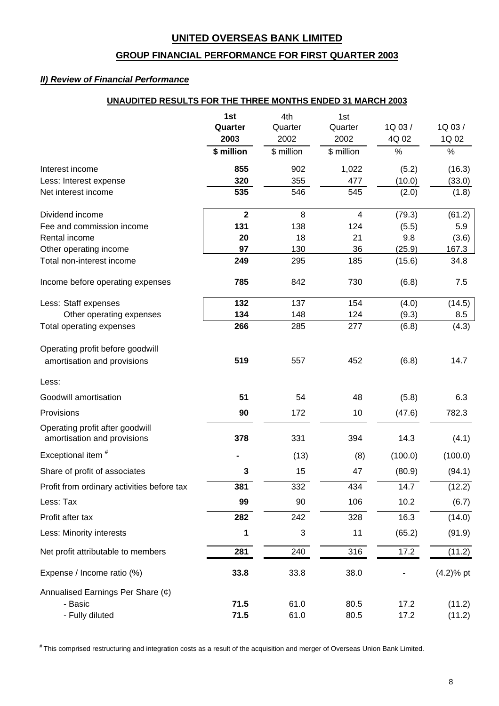# **GROUP FINANCIAL PERFORMANCE FOR FIRST QUARTER 2003**

## *II) Review of Financial Performance*

## **UNAUDITED RESULTS FOR THE THREE MONTHS ENDED 31 MARCH 2003**

|                                                                 | 1st          | 4th        | 1st                     |         |              |
|-----------------------------------------------------------------|--------------|------------|-------------------------|---------|--------------|
|                                                                 | Quarter      | Quarter    | Quarter                 | 1Q 03/  | 1Q 03/       |
|                                                                 | 2003         | 2002       | 2002                    | 4Q 02   | 1Q 02        |
|                                                                 | \$ million   | \$ million | \$ million              | %       | $\%$         |
| Interest income                                                 | 855          | 902        | 1,022                   | (5.2)   | (16.3)       |
| Less: Interest expense                                          | 320          | 355        | 477                     | (10.0)  | (33.0)       |
| Net interest income                                             | 535          | 546        | 545                     | (2.0)   | (1.8)        |
| Dividend income                                                 | $\mathbf{2}$ | 8          | $\overline{\mathbf{4}}$ | (79.3)  | (61.2)       |
| Fee and commission income                                       | 131          | 138        | 124                     | (5.5)   | 5.9          |
| Rental income                                                   | 20           | 18         | 21                      | 9.8     | (3.6)        |
| Other operating income                                          | 97           | 130        | 36                      | (25.9)  | 167.3        |
| Total non-interest income                                       | 249          | 295        | 185                     | (15.6)  | 34.8         |
| Income before operating expenses                                | 785          | 842        | 730                     | (6.8)   | 7.5          |
| Less: Staff expenses                                            | 132          | 137        | 154                     | (4.0)   | (14.5)       |
| Other operating expenses                                        | 134          | 148        | 124                     | (9.3)   | 8.5          |
| Total operating expenses                                        | 266          | 285        | 277                     | (6.8)   | (4.3)        |
| Operating profit before goodwill<br>amortisation and provisions | 519          | 557        | 452                     | (6.8)   | 14.7         |
| Less:                                                           |              |            |                         |         |              |
| Goodwill amortisation                                           | 51           | 54         | 48                      | (5.8)   | 6.3          |
| Provisions                                                      | 90           | 172        | 10                      | (47.6)  | 782.3        |
| Operating profit after goodwill<br>amortisation and provisions  | 378          | 331        | 394                     | 14.3    | (4.1)        |
| Exceptional item <sup>#</sup>                                   |              | (13)       | (8)                     | (100.0) | (100.0)      |
| Share of profit of associates                                   | 3            | 15         | 47                      | (80.9)  | (94.1)       |
| Profit from ordinary activities before tax                      | 381          | 332        | 434                     | 14.7    | (12.2)       |
| Less: Tax                                                       | 99           | 90         | 106                     | 10.2    | (6.7)        |
| Profit after tax                                                | 282          | 242        | 328                     | 16.3    | (14.0)       |
| Less: Minority interests                                        | 1            | 3          | 11                      | (65.2)  | (91.9)       |
| Net profit attributable to members                              | 281          | 240        | 316                     | 17.2    | (11.2)       |
| Expense / Income ratio (%)                                      | 33.8         | 33.8       | 38.0                    |         | $(4.2)$ % pt |
| Annualised Earnings Per Share (¢)                               |              |            |                         |         |              |
| - Basic                                                         | 71.5         | 61.0       | 80.5                    | 17.2    | (11.2)       |
| - Fully diluted                                                 | 71.5         | 61.0       | 80.5                    | 17.2    | (11.2)       |

# This comprised restructuring and integration costs as a result of the acquisition and merger of Overseas Union Bank Limited.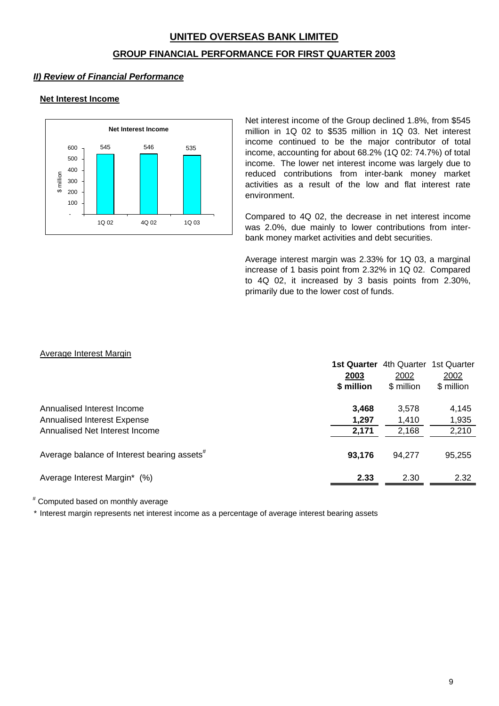## **GROUP FINANCIAL PERFORMANCE FOR FIRST QUARTER 2003**

## *II) Review of Financial Performance*

## **Net Interest Income**



Net interest income of the Group declined 1.8%, from \$545 million in 1Q 02 to \$535 million in 1Q 03. Net interest income continued to be the major contributor of total income, accounting for about 68.2% (1Q 02: 74.7%) of total income. The lower net interest income was largely due to reduced contributions from inter-bank money market activities as a result of the low and flat interest rate environment.

Compared to 4Q 02, the decrease in net interest income was 2.0%, due mainly to lower contributions from interbank money market activities and debt securities.

Average interest margin was 2.33% for 1Q 03, a marginal increase of 1 basis point from 2.32% in 1Q 02. Compared to 4Q 02, it increased by 3 basis points from 2.30%, primarily due to the lower cost of funds.

#### Average Interest Margin

|                                                                  | <b>1st Quarter</b><br>2003<br>\$ million | 4th Quarter<br>2002<br>\$ million | 1st Quarter<br>2002<br>\$ million |
|------------------------------------------------------------------|------------------------------------------|-----------------------------------|-----------------------------------|
| Annualised Interest Income<br><b>Annualised Interest Expense</b> | 3,468<br>1,297                           | 3,578<br>1,410                    | 4,145<br>1,935                    |
| Annualised Net Interest Income                                   | 2,171                                    | 2,168                             | 2,210                             |
| Average balance of Interest bearing assets <sup>#</sup>          | 93.176                                   | 94.277                            | 95,255                            |
| Average Interest Margin* (%)                                     | 2.33                                     | 2.30                              | 2.32                              |

# Computed based on monthly average

\* Interest margin represents net interest income as a percentage of average interest bearing assets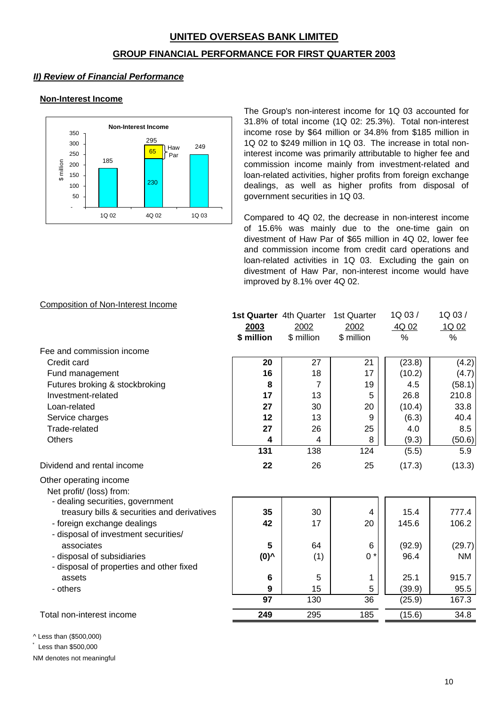## **GROUP FINANCIAL PERFORMANCE FOR FIRST QUARTER 2003**

# *II) Review of Financial Performance*

## **Non-Interest Income**



The Group's non-interest income for 1Q 03 accounted for 31.8% of total income (1Q 02: 25.3%). Total non-interest income rose by \$64 million or 34.8% from \$185 million in 1Q 02 to \$249 million in 1Q 03. The increase in total noninterest income was primarily attributable to higher fee and commission income mainly from investment-related and loan-related activities, higher profits from foreign exchange dealings, as well as higher profits from disposal of government securities in 1Q 03.

Compared to 4Q 02, the decrease in non-interest income of 15.6% was mainly due to the one-time gain on divestment of Haw Par of \$65 million in 4Q 02, lower fee and commission income from credit card operations and loan-related activities in 1Q 03. Excluding the gain on divestment of Haw Par, non-interest income would have improved by 8.1% over 4Q 02.

## Composition of Non-Interest Income

|                                                                                 | 1st Quarter 4th Quarter |            | 1st Quarter | 1Q03/  | 1Q 03/    |
|---------------------------------------------------------------------------------|-------------------------|------------|-------------|--------|-----------|
|                                                                                 | 2003                    | 2002       | 2002        | 4Q 02  | 1Q 02     |
|                                                                                 | \$ million              | \$ million | \$ million  | %      | %         |
| Fee and commission income                                                       |                         |            |             |        |           |
| Credit card                                                                     | 20                      | 27         | 21          | (23.8) | (4.2)     |
| Fund management                                                                 | 16                      | 18         | 17          | (10.2) | (4.7)     |
| Futures broking & stockbroking                                                  | 8                       | 7          | 19          | 4.5    | (58.1)    |
| Investment-related                                                              | 17                      | 13         | 5           | 26.8   | 210.8     |
| Loan-related                                                                    | 27                      | 30         | 20          | (10.4) | 33.8      |
| Service charges                                                                 | 12                      | 13         | 9           | (6.3)  | 40.4      |
| Trade-related                                                                   | 27                      | 26         | 25          | 4.0    | 8.5       |
| <b>Others</b>                                                                   | 4                       | 4          | 8           | (9.3)  | (50.6)    |
|                                                                                 | 131                     | 138        | 124         | (5.5)  | 5.9       |
| Dividend and rental income                                                      | 22                      | 26         | 25          | (17.3) | (13.3)    |
| Other operating income<br>Net profit/ (loss) from:                              |                         |            |             |        |           |
| - dealing securities, government<br>treasury bills & securities and derivatives | 35                      | 30         | 4           | 15.4   | 777.4     |
| - foreign exchange dealings<br>- disposal of investment securities/             | 42                      | 17         | 20          | 145.6  | 106.2     |
| associates                                                                      | 5                       | 64         | 6           | (92.9) | (29.7)    |
| - disposal of subsidiaries<br>- disposal of properties and other fixed          | (0)^                    | (1)        | $0 *$       | 96.4   | <b>NM</b> |
| assets                                                                          | $6\phantom{1}6$         | 5          |             | 25.1   | 915.7     |
| - others                                                                        | 9                       | 15         | 5           | (39.9) | 95.5      |
|                                                                                 | 97                      | 130        | 36          | (25.9) | 167.3     |
| Total non-interest income                                                       | 249                     | 295        | 185         | (15.6) | 34.8      |
|                                                                                 |                         |            |             |        |           |

^ Less than (\$500,000)

\* Less than \$500,000

NM denotes not meaningful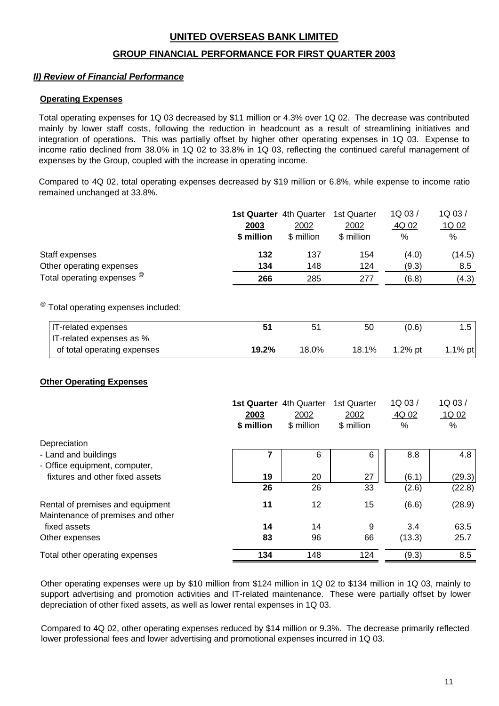## **GROUP FINANCIAL PERFORMANCE FOR FIRST QUARTER 2003**

## *II) Review of Financial Performance*

#### **Operating Expenses**

Total operating expenses for 1Q 03 decreased by \$11 million or 4.3% over 1Q 02. The decrease was contributed mainly by lower staff costs, following the reduction in headcount as a result of streamlining initiatives and integration of operations. This was partially offset by higher other operating expenses in 1Q 03. Expense to income ratio declined from 38.0% in 1Q 02 to 33.8% in 1Q 03, reflecting the continued careful management of expenses by the Group, coupled with the increase in operating income.

Compared to 4Q 02, total operating expenses decreased by \$19 million or 6.8%, while expense to income ratio remained unchanged at 33.8%.

|                                                 |            | 1st Quarter 4th Quarter | 1st Quarter | 1Q03/         | 1Q 03/           |
|-------------------------------------------------|------------|-------------------------|-------------|---------------|------------------|
|                                                 | 2003       | 2002                    | 2002        | 4Q 02         | 1Q <sub>02</sub> |
|                                                 | \$ million | \$ million              | \$ million  | $\frac{0}{0}$ | $\%$             |
| Staff expenses                                  | 132        | 137                     | 154         | (4.0)         | (14.5)           |
| Other operating expenses                        | 134        | 148                     | 124         | (9.3)         | 8.5              |
| Total operating expenses $^{\omega}$            | 266        | 285                     | 277         | (6.8)         | (4.3)            |
|                                                 |            |                         |             |               |                  |
| <sup>@</sup> Total operating expenses included: |            |                         |             |               |                  |

 IT-related expenses **51** 51 50 (0.6) 1.5 IT-related expenses as % of total operating expenses **19.2%** 18.0% 18.1% 1.2% pt 1.1% pt

## **Other Operating Expenses**

|                                                                       | <b>1st Quarter</b> 4th Quarter<br>2003<br>\$ million | 2002<br>\$ million | 1st Quarter<br>2002<br>\$ million | 1Q 03/<br>4Q 02<br>$\%$ | 1Q 03/<br>1Q 02<br>% |
|-----------------------------------------------------------------------|------------------------------------------------------|--------------------|-----------------------------------|-------------------------|----------------------|
| Depreciation                                                          |                                                      |                    |                                   |                         |                      |
| - Land and buildings<br>- Office equipment, computer,                 |                                                      | 6                  | 6                                 | 8.8                     | 4.8                  |
| fixtures and other fixed assets                                       | 19                                                   | 20                 | 27                                | (6.1)                   | (29.3)               |
|                                                                       | 26                                                   | 26                 | 33                                | (2.6)                   | (22.8)               |
| Rental of premises and equipment<br>Maintenance of premises and other | 11                                                   | 12                 | 15                                | (6.6)                   | (28.9)               |
| fixed assets                                                          | 14                                                   | 14                 | 9                                 | 3.4                     | 63.5                 |
| Other expenses                                                        | 83                                                   | 96                 | 66                                | (13.3)                  | 25.7                 |
| Total other operating expenses                                        | 134                                                  | 148                | 124                               | (9.3)                   | 8.5                  |

Other operating expenses were up by \$10 million from \$124 million in 1Q 02 to \$134 million in 1Q 03, mainly to support advertising and promotion activities and IT-related maintenance. These were partially offset by lower depreciation of other fixed assets, as well as lower rental expenses in 1Q 03.

Compared to 4Q 02, other operating expenses reduced by \$14 million or 9.3%. The decrease primarily reflected lower professional fees and lower advertising and promotional expenses incurred in 1Q 03.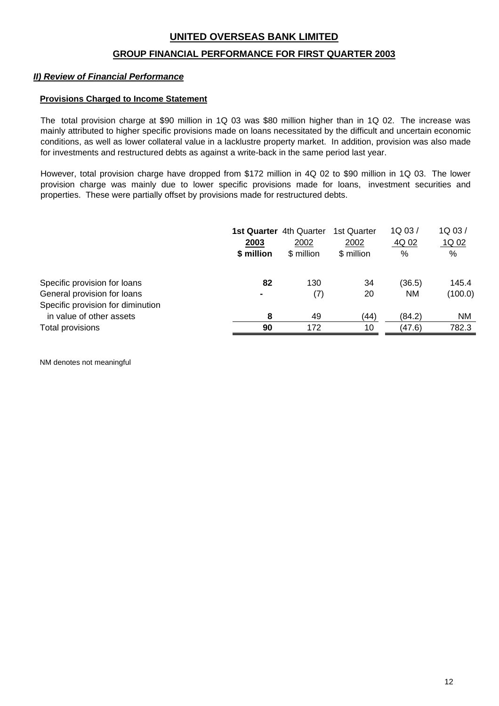## **GROUP FINANCIAL PERFORMANCE FOR FIRST QUARTER 2003**

## *II) Review of Financial Performance*

#### **Provisions Charged to Income Statement**

The total provision charge at \$90 million in 1Q 03 was \$80 million higher than in 1Q 02. The increase was mainly attributed to higher specific provisions made on loans necessitated by the difficult and uncertain economic conditions, as well as lower collateral value in a lacklustre property market. In addition, provision was also made for investments and restructured debts as against a write-back in the same period last year.

However, total provision charge have dropped from \$172 million in 4Q 02 to \$90 million in 1Q 03. The lower provision charge was mainly due to lower specific provisions made for loans, investment securities and properties. These were partially offset by provisions made for restructured debts.

|                                   | 2003<br>\$ million | <b>1st Quarter</b> 4th Quarter<br>2002<br>\$ million | 1st Quarter<br>2002<br>\$ million | 1Q03/<br>4Q 02<br>% | 1Q 03/<br>1Q <sub>02</sub><br>% |
|-----------------------------------|--------------------|------------------------------------------------------|-----------------------------------|---------------------|---------------------------------|
| Specific provision for loans      | 82                 | 130                                                  | 34                                | (36.5)              | 145.4                           |
| General provision for loans       |                    | (7)                                                  | 20                                | <b>NM</b>           | (100.0)                         |
| Specific provision for diminution |                    |                                                      |                                   |                     |                                 |
| in value of other assets          | 8                  | 49                                                   | (44)                              | (84.2)              | <b>NM</b>                       |
| Total provisions                  | 90                 | 172                                                  | 10                                | (47.6)              | 782.3                           |
|                                   |                    |                                                      |                                   |                     |                                 |

NM denotes not meaningful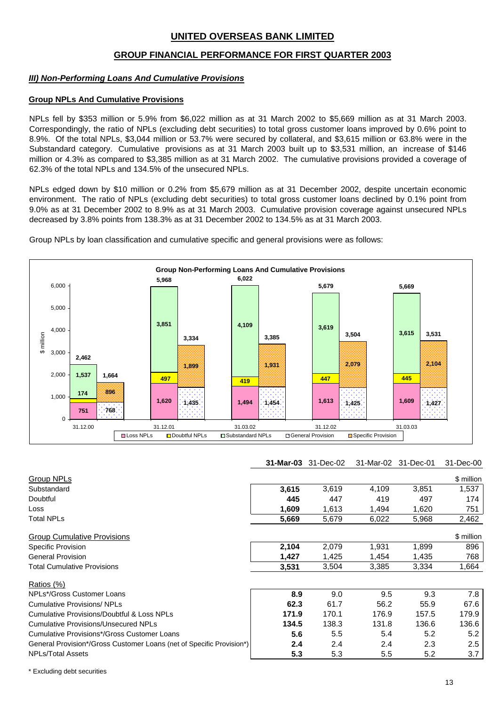## **GROUP FINANCIAL PERFORMANCE FOR FIRST QUARTER 2003**

#### *III) Non-Performing Loans And Cumulative Provisions*

#### **Group NPLs And Cumulative Provisions**

NPLs fell by \$353 million or 5.9% from \$6,022 million as at 31 March 2002 to \$5,669 million as at 31 March 2003. Correspondingly, the ratio of NPLs (excluding debt securities) to total gross customer loans improved by 0.6% point to 8.9%. Of the total NPLs, \$3,044 million or 53.7% were secured by collateral, and \$3,615 million or 63.8% were in the Substandard category. Cumulative provisions as at 31 March 2003 built up to \$3,531 million, an increase of \$146 million or 4.3% as compared to \$3,385 million as at 31 March 2002. The cumulative provisions provided a coverage of 62.3% of the total NPLs and 134.5% of the unsecured NPLs.

NPLs edged down by \$10 million or 0.2% from \$5,679 million as at 31 December 2002, despite uncertain economic environment. The ratio of NPLs (excluding debt securities) to total gross customer loans declined by 0.1% point from 9.0% as at 31 December 2002 to 8.9% as at 31 March 2003. Cumulative provision coverage against unsecured NPLs decreased by 3.8% points from 138.3% as at 31 December 2002 to 134.5% as at 31 March 2003.

Group NPLs by loan classification and cumulative specific and general provisions were as follows:



| <b>31-Mar-03</b> 31-Dec-02 31-Mar-02 31-Dec-01 31-Dec-00 |
|----------------------------------------------------------|
|----------------------------------------------------------|

| <b>Group NPLs</b>                                                    |       |       |       |       | \$ million    |
|----------------------------------------------------------------------|-------|-------|-------|-------|---------------|
| Substandard                                                          | 3,615 | 3,619 | 4,109 | 3,851 | 1,537         |
| Doubtful                                                             | 445   | 447   | 419   | 497   | 174           |
| Loss                                                                 | 1,609 | 1,613 | 1,494 | 1,620 | 751           |
| Total NPLs                                                           | 5,669 | 5,679 | 6,022 | 5,968 | 2,462         |
| <b>Group Cumulative Provisions</b>                                   |       |       |       |       | \$ million    |
| Specific Provision                                                   | 2,104 | 2,079 | 1,931 | 1,899 | 896           |
| <b>General Provision</b>                                             | 1,427 | 1,425 | 1.454 | 1,435 | 768           |
| Total Cumulative Provisions                                          | 3,531 | 3,504 | 3,385 | 3,334 | 1,664         |
| Ratios (%)                                                           |       |       |       |       |               |
| NPLs*/Gross Customer Loans                                           | 8.9   | 9.0   | 9.5   | 9.3   | 7.8           |
| <b>Cumulative Provisions/ NPLs</b>                                   | 62.3  | 61.7  | 56.2  | 55.9  | 67.6          |
| <b>Cumulative Provisions/Doubtful &amp; Loss NPLs</b>                | 171.9 | 170.1 | 176.9 | 157.5 | 179.9         |
| <b>Cumulative Provisions/Unsecured NPLs</b>                          | 134.5 | 138.3 | 131.8 | 136.6 | 136.6         |
| Cumulative Provisions*/Gross Customer Loans                          | 5.6   | 5.5   | 5.4   | 5.2   | 5.2           |
| General Provision*/Gross Customer Loans (net of Specific Provision*) | 2.4   | 2.4   | 2.4   | 2.3   | $2.5^{\circ}$ |
| <b>NPLs/Total Assets</b>                                             | 5.3   | 5.3   | 5.5   | 5.2   | 3.7           |

\* Excluding debt securities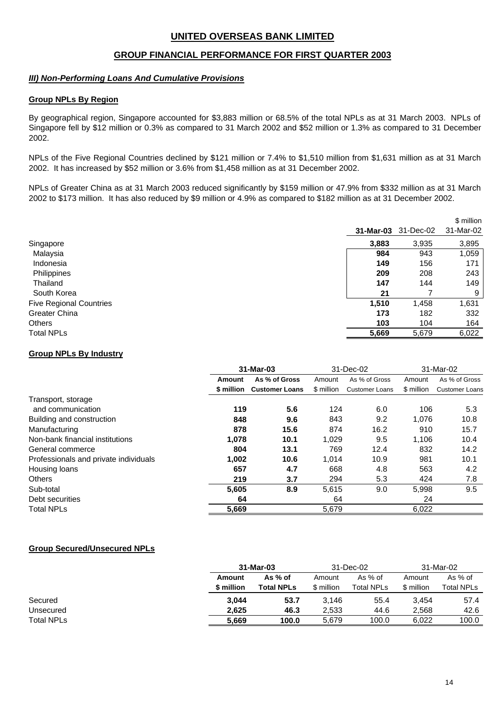## **GROUP FINANCIAL PERFORMANCE FOR FIRST QUARTER 2003**

#### *III) Non-Performing Loans And Cumulative Provisions*

#### **Group NPLs By Region**

By geographical region, Singapore accounted for \$3,883 million or 68.5% of the total NPLs as at 31 March 2003. NPLs of Singapore fell by \$12 million or 0.3% as compared to 31 March 2002 and \$52 million or 1.3% as compared to 31 December 2002.

NPLs of the Five Regional Countries declined by \$121 million or 7.4% to \$1,510 million from \$1,631 million as at 31 March 2002. It has increased by \$52 million or 3.6% from \$1,458 million as at 31 December 2002.

NPLs of Greater China as at 31 March 2003 reduced significantly by \$159 million or 47.9% from \$332 million as at 31 March 2002 to \$173 million. It has also reduced by \$9 million or 4.9% as compared to \$182 million as at 31 December 2002.

|                                |           |           | \$ million |
|--------------------------------|-----------|-----------|------------|
|                                | 31-Mar-03 | 31-Dec-02 | 31-Mar-02  |
| Singapore                      | 3,883     | 3,935     | 3,895      |
| Malaysia                       | 984       | 943       | 1,059      |
| Indonesia                      | 149       | 156       | 171        |
| Philippines                    | 209       | 208       | 243        |
| Thailand                       | 147       | 144       | 149        |
| South Korea                    | 21        |           | 9          |
| <b>Five Regional Countries</b> | 1,510     | 1,458     | 1,631      |
| <b>Greater China</b>           | 173       | 182       | 332        |
| Others                         | 103       | 104       | 164        |
| <b>Total NPLs</b>              | 5,669     | 5,679     | 6,022      |

#### **Group NPLs By Industry**

|                                       |                         | 31-Mar-03             |            | 31-Dec-02             |            | 31-Mar-02             |  |
|---------------------------------------|-------------------------|-----------------------|------------|-----------------------|------------|-----------------------|--|
|                                       | As % of Gross<br>Amount |                       | Amount     | As % of Gross         | Amount     | As % of Gross         |  |
|                                       | \$ million              | <b>Customer Loans</b> | \$ million | <b>Customer Loans</b> | \$ million | <b>Customer Loans</b> |  |
| Transport, storage                    |                         |                       |            |                       |            |                       |  |
| and communication                     | 119                     | 5.6                   | 124        | 6.0                   | 106        | 5.3                   |  |
| Building and construction             | 848                     | 9.6                   | 843        | 9.2                   | 1,076      | 10.8                  |  |
| Manufacturing                         | 878                     | 15.6                  | 874        | 16.2                  | 910        | 15.7                  |  |
| Non-bank financial institutions       | 1.078                   | 10.1                  | 1,029      | 9.5                   | 1,106      | 10.4                  |  |
| General commerce                      | 804                     | 13.1                  | 769        | 12.4                  | 832        | 14.2                  |  |
| Professionals and private individuals | 1,002                   | 10.6                  | 1,014      | 10.9                  | 981        | 10.1                  |  |
| Housing loans                         | 657                     | 4.7                   | 668        | 4.8                   | 563        | 4.2                   |  |
| <b>Others</b>                         | 219                     | 3.7                   | 294        | 5.3                   | 424        | 7.8                   |  |
| Sub-total                             | 5,605                   | 8.9                   | 5,615      | 9.0                   | 5,998      | 9.5                   |  |
| Debt securities                       | 64                      |                       | 64         |                       | 24         |                       |  |
| <b>Total NPLs</b>                     | 5,669                   |                       | 5,679      |                       | 6,022      |                       |  |

#### **Group Secured/Unsecured NPLs**

|                   | 31-Mar-03           |                   | 31-Dec-02  |            | 31-Mar-02  |            |
|-------------------|---------------------|-------------------|------------|------------|------------|------------|
|                   | As $%$ of<br>Amount |                   | Amount     | As % of    | Amount     | As % of    |
|                   | \$ million          | <b>Total NPLs</b> | \$ million | Total NPLs | \$ million | Total NPLs |
| Secured           | 3.044               | 53.7              | 3.146      | 55.4       | 3.454      | 57.4       |
| Unsecured         | 2.625               | 46.3              | 2,533      | 44.6       | 2.568      | 42.6       |
| <b>Total NPLs</b> | 5,669               | 100.0             | 5,679      | 100.0      | 6,022      | 100.0      |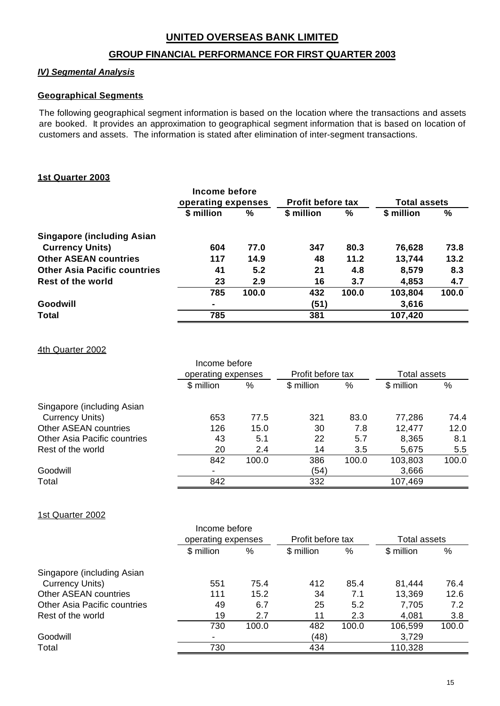## **GROUP FINANCIAL PERFORMANCE FOR FIRST QUARTER 2003**

## *IV) Segmental Analysis*

## **Geographical Segments**

The following geographical segment information is based on the location where the transactions and assets are booked. It provides an approximation to geographical segment information that is based on location of customers and assets. The information is stated after elimination of inter-segment transactions.

## **1st Quarter 2003**

|                                     | Income before<br>operating expenses |               | <b>Profit before tax</b> |       | <b>Total assets</b> |       |
|-------------------------------------|-------------------------------------|---------------|--------------------------|-------|---------------------|-------|
|                                     | \$ million                          | $\frac{0}{0}$ | \$ million               | %     | \$ million          | %     |
| <b>Singapore (including Asian)</b>  |                                     |               |                          |       |                     |       |
| <b>Currency Units)</b>              | 604                                 | 77.0          | 347                      | 80.3  | 76,628              | 73.8  |
| <b>Other ASEAN countries</b>        | 117                                 | 14.9          | 48                       | 11.2  | 13,744              | 13.2  |
| <b>Other Asia Pacific countries</b> | 41                                  | 5.2           | 21                       | 4.8   | 8,579               | 8.3   |
| <b>Rest of the world</b>            | 23                                  | 2.9           | 16                       | 3.7   | 4,853               | 4.7   |
|                                     | 785                                 | 100.0         | 432                      | 100.0 | 103,804             | 100.0 |
| Goodwill                            | ۰                                   |               | (51)                     |       | 3,616               |       |
| <b>Total</b>                        | 785                                 |               | 381                      |       | 107,420             |       |

4th Quarter 2002

|                              | Income before<br>operating expenses |       | Profit before tax |       | <b>Total assets</b> |       |
|------------------------------|-------------------------------------|-------|-------------------|-------|---------------------|-------|
|                              | \$ million                          | %     | \$ million        | %     | \$ million          | %     |
| Singapore (including Asian   |                                     |       |                   |       |                     |       |
| Currency Units)              | 653                                 | 77.5  | 321               | 83.0  | 77,286              | 74.4  |
| Other ASEAN countries        | 126                                 | 15.0  | 30                | 7.8   | 12,477              | 12.0  |
| Other Asia Pacific countries | 43                                  | 5.1   | 22                | 5.7   | 8,365               | 8.1   |
| Rest of the world            | 20                                  | 2.4   | 14                | 3.5   | 5,675               | 5.5   |
|                              | 842                                 | 100.0 | 386               | 100.0 | 103,803             | 100.0 |
| Goodwill                     | $\blacksquare$                      |       | (54)              |       | 3,666               |       |
| Total                        | 842                                 |       | 332               |       | 107,469             |       |

1st Quarter 2002

|                              |            | Income before<br>operating expenses |            | Profit before tax |            | Total assets |
|------------------------------|------------|-------------------------------------|------------|-------------------|------------|--------------|
|                              | \$ million | %                                   | \$ million | %                 | \$ million | %            |
| Singapore (including Asian   |            |                                     |            |                   |            |              |
| Currency Units)              | 551        | 75.4                                | 412        | 85.4              | 81,444     | 76.4         |
| <b>Other ASEAN countries</b> | 111        | 15.2                                | 34         | 7.1               | 13,369     | 12.6         |
| Other Asia Pacific countries | 49         | 6.7                                 | 25         | 5.2               | 7,705      | 7.2          |
| Rest of the world            | 19         | 2.7                                 | 11         | 2.3               | 4,081      | 3.8          |
|                              | 730        | 100.0                               | 482        | 100.0             | 106,599    | 100.0        |
| Goodwill                     |            |                                     | (48)       |                   | 3,729      |              |
| Total                        | 730        |                                     | 434        |                   | 110,328    |              |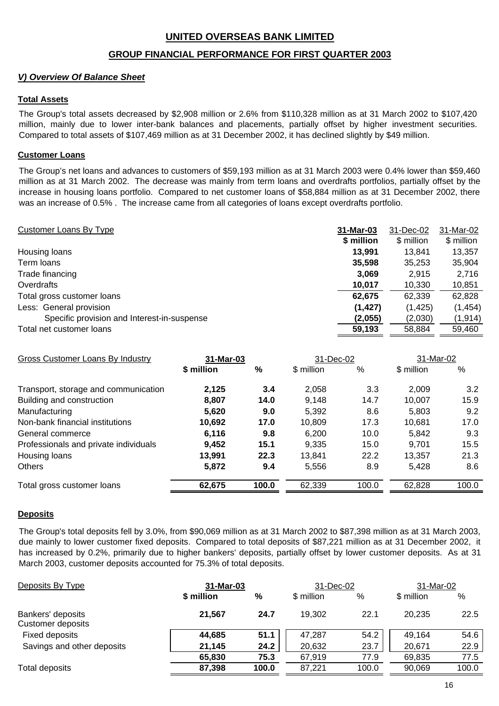## **GROUP FINANCIAL PERFORMANCE FOR FIRST QUARTER 2003**

## *V) Overview Of Balance Sheet*

## **Total Assets**

The Group's total assets decreased by \$2,908 million or 2.6% from \$110,328 million as at 31 March 2002 to \$107,420 million, mainly due to lower inter-bank balances and placements, partially offset by higher investment securities. Compared to total assets of \$107,469 million as at 31 December 2002, it has declined slightly by \$49 million.

## **Customer Loans**

The Group's net loans and advances to customers of \$59,193 million as at 31 March 2003 were 0.4% lower than \$59,460 million as at 31 March 2002. The decrease was mainly from term loans and overdrafts portfolios, partially offset by the increase in housing loans portfolio. Compared to net customer loans of \$58,884 million as at 31 December 2002, there was an increase of 0.5% . The increase came from all categories of loans except overdrafts portfolio.

| Customer Loans By Type                      | 31-Mar-03  | 31-Dec-02  | 31-Mar-02  |
|---------------------------------------------|------------|------------|------------|
|                                             | \$ million | \$ million | \$ million |
| Housing loans                               | 13.991     | 13.841     | 13,357     |
| Term loans                                  | 35,598     | 35,253     | 35,904     |
| Trade financing                             | 3,069      | 2,915      | 2,716      |
| Overdrafts                                  | 10,017     | 10,330     | 10,851     |
| Total gross customer loans                  | 62,675     | 62,339     | 62,828     |
| Less: General provision                     | (1, 427)   | (1, 425)   | (1, 454)   |
| Specific provision and Interest-in-suspense | (2,055)    | (2,030)    | (1, 914)   |
| Total net customer loans                    | 59,193     | 58,884     | 59,460     |

| Gross Customer Loans By Industry      | 31-Mar-03  |       | 31-Dec-02  |       | 31-Mar-02  |       |
|---------------------------------------|------------|-------|------------|-------|------------|-------|
|                                       | \$ million | %     | \$ million | %     | \$ million | %     |
| Transport, storage and communication  | 2,125      | 3.4   | 2,058      | 3.3   | 2,009      | 3.2   |
| Building and construction             | 8,807      | 14.0  | 9,148      | 14.7  | 10,007     | 15.9  |
| Manufacturing                         | 5,620      | 9.0   | 5,392      | 8.6   | 5.803      | 9.2   |
| Non-bank financial institutions       | 10,692     | 17.0  | 10,809     | 17.3  | 10,681     | 17.0  |
| General commerce                      | 6,116      | 9.8   | 6,200      | 10.0  | 5,842      | 9.3   |
| Professionals and private individuals | 9,452      | 15.1  | 9,335      | 15.0  | 9.701      | 15.5  |
| Housing loans                         | 13,991     | 22.3  | 13,841     | 22.2  | 13,357     | 21.3  |
| <b>Others</b>                         | 5,872      | 9.4   | 5,556      | 8.9   | 5,428      | 8.6   |
| Total gross customer loans            | 62,675     | 100.0 | 62,339     | 100.0 | 62,828     | 100.0 |

#### **Deposits**

The Group's total deposits fell by 3.0%, from \$90,069 million as at 31 March 2002 to \$87,398 million as at 31 March 2003, due mainly to lower customer fixed deposits. Compared to total deposits of \$87,221 million as at 31 December 2002, it has increased by 0.2%, primarily due to higher bankers' deposits, partially offset by lower customer deposits. As at 31 March 2003, customer deposits accounted for 75.3% of total deposits.

| Deposits By Type                              |            | 31-Mar-03 |            | 31-Dec-02 |            | 31-Mar-02 |  |
|-----------------------------------------------|------------|-----------|------------|-----------|------------|-----------|--|
|                                               | \$ million | %         | \$ million | %         | \$ million | $\%$      |  |
| Bankers' deposits<br><b>Customer deposits</b> | 21,567     | 24.7      | 19,302     | 22.1      | 20.235     | 22.5      |  |
| Fixed deposits                                | 44,685     | 51.1      | 47,287     | 54.2      | 49,164     | 54.6      |  |
| Savings and other deposits                    | 21,145     | 24.2      | 20,632     | 23.7      | 20,671     | 22.9      |  |
|                                               | 65,830     | 75.3      | 67,919     | 77.9      | 69,835     | 77.5      |  |
| Total deposits                                | 87,398     | 100.0     | 87,221     | 100.0     | 90,069     | 100.0     |  |
|                                               |            |           |            |           |            |           |  |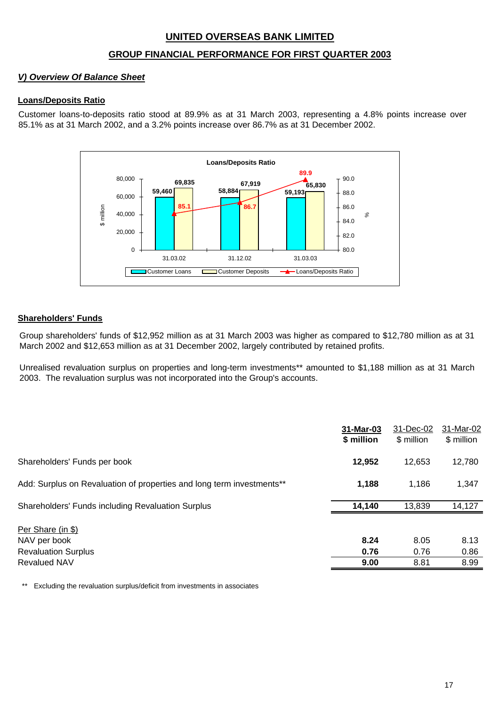## **GROUP FINANCIAL PERFORMANCE FOR FIRST QUARTER 2003**

## *V) Overview Of Balance Sheet*

## **Loans/Deposits Ratio**

Customer loans-to-deposits ratio stood at 89.9% as at 31 March 2003, representing a 4.8% points increase over 85.1% as at 31 March 2002, and a 3.2% points increase over 86.7% as at 31 December 2002.



#### **Shareholders' Funds**

Group shareholders' funds of \$12,952 million as at 31 March 2003 was higher as compared to \$12,780 million as at 31 March 2002 and \$12,653 million as at 31 December 2002, largely contributed by retained profits.

Unrealised revaluation surplus on properties and long-term investments\*\* amounted to \$1,188 million as at 31 March 2003. The revaluation surplus was not incorporated into the Group's accounts.

|                                                                       | 31-Mar-03<br>\$ million | 31-Dec-02<br>\$ million | 31-Mar-02<br>\$ million |
|-----------------------------------------------------------------------|-------------------------|-------------------------|-------------------------|
| Shareholders' Funds per book                                          | 12,952                  | 12,653                  | 12,780                  |
| Add: Surplus on Revaluation of properties and long term investments** | 1,188                   | 1,186                   | 1,347                   |
| <b>Shareholders' Funds including Revaluation Surplus</b>              | 14,140                  | 13,839                  | 14,127                  |
| Per Share (in \$)<br>NAV per book<br><b>Revaluation Surplus</b>       | 8.24<br>0.76            | 8.05<br>0.76            | 8.13<br>0.86            |
| <b>Revalued NAV</b>                                                   | 9.00                    | 8.81                    | 8.99                    |

\*\* Excluding the revaluation surplus/deficit from investments in associates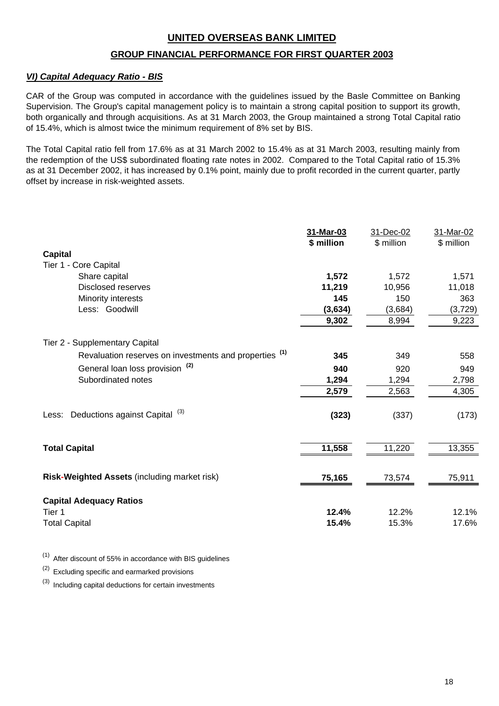## **GROUP FINANCIAL PERFORMANCE FOR FIRST QUARTER 2003**

## *VI) Capital Adequacy Ratio - BIS*

CAR of the Group was computed in accordance with the guidelines issued by the Basle Committee on Banking Supervision. The Group's capital management policy is to maintain a strong capital position to support its growth, both organically and through acquisitions. As at 31 March 2003, the Group maintained a strong Total Capital ratio of 15.4%, which is almost twice the minimum requirement of 8% set by BIS.

The Total Capital ratio fell from 17.6% as at 31 March 2002 to 15.4% as at 31 March 2003, resulting mainly from the redemption of the US\$ subordinated floating rate notes in 2002. Compared to the Total Capital ratio of 15.3% as at 31 December 2002, it has increased by 0.1% point, mainly due to profit recorded in the current quarter, partly offset by increase in risk-weighted assets.

|                                                                   | 31-Mar-03  | 31-Dec-02  | 31-Mar-02  |
|-------------------------------------------------------------------|------------|------------|------------|
|                                                                   | \$ million | \$ million | \$ million |
| <b>Capital</b>                                                    |            |            |            |
| Tier 1 - Core Capital                                             |            |            |            |
| Share capital                                                     | 1,572      | 1,572      | 1,571      |
| <b>Disclosed reserves</b>                                         | 11,219     | 10,956     | 11,018     |
| Minority interests                                                | 145        | 150        | 363        |
| Less: Goodwill                                                    | (3,634)    | (3,684)    | (3, 729)   |
|                                                                   | 9,302      | 8,994      | 9,223      |
| Tier 2 - Supplementary Capital                                    |            |            |            |
| Revaluation reserves on investments and properties <sup>(1)</sup> | 345        | 349        | 558        |
| General loan loss provision <sup>(2)</sup>                        | 940        | 920        | 949        |
| Subordinated notes                                                | 1,294      | 1,294      | 2,798      |
|                                                                   | 2,579      | 2,563      | 4,305      |
| (3)                                                               |            |            |            |
| Deductions against Capital<br>Less:                               | (323)      | (337)      | (173)      |
|                                                                   |            |            |            |
| <b>Total Capital</b>                                              | 11,558     | 11,220     | 13,355     |
|                                                                   |            |            |            |
| Risk-Weighted Assets (including market risk)                      | 75,165     | 73,574     | 75,911     |
|                                                                   |            |            |            |
| <b>Capital Adequacy Ratios</b>                                    |            |            |            |
| Tier 1                                                            | 12.4%      | 12.2%      | 12.1%      |
| <b>Total Capital</b>                                              | 15.4%      | 15.3%      | 17.6%      |

 $(1)$  After discount of 55% in accordance with BIS guidelines

(2) Excluding specific and earmarked provisions

 $(3)$  Including capital deductions for certain investments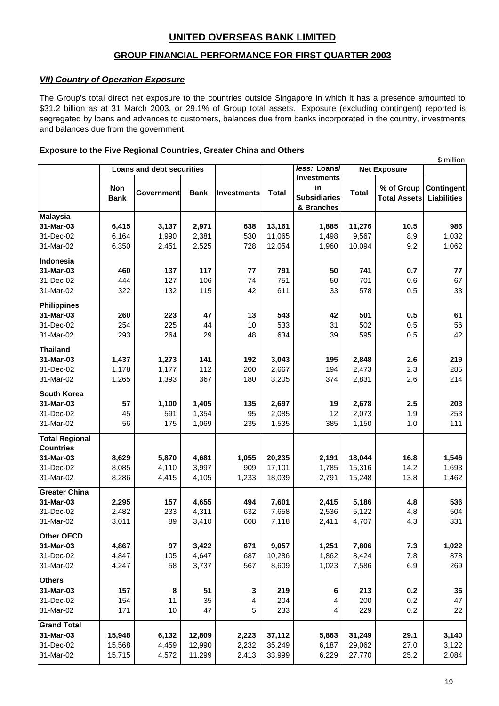## **GROUP FINANCIAL PERFORMANCE FOR FIRST QUARTER 2003**

#### *VII) Country of Operation Exposure*

The Group's total direct net exposure to the countries outside Singapore in which it has a presence amounted to \$31.2 billion as at 31 March 2003, or 29.1% of Group total assets. Exposure (excluding contingent) reported is segregated by loans and advances to customers, balances due from banks incorporated in the country, investments and balances due from the government.

#### **Exposure to the Five Regional Countries, Greater China and Others**

| <b>Loans and debt securities</b><br><b>Net Exposure</b><br><b>Investments</b><br>Non<br>in<br>% of Group<br><b>Total</b><br><b>Total</b><br><b>Government</b><br><b>Bank</b><br><b>Investments</b><br><b>Subsidiaries</b><br><b>Bank</b><br><b>Total Assets</b><br><b>Liabilities</b><br>& Branches<br><b>Malaysia</b><br>3,137<br>2,971<br>11,276<br>31-Mar-03<br>6,415<br>638<br>13,161<br>1,885<br>10.5<br>986<br>6,164<br>530<br>11,065<br>8.9<br>1,032<br>31-Dec-02<br>1,990<br>2,381<br>1,498<br>9,567<br>1,960<br>9.2<br>31-Mar-02<br>6,350<br>2,451<br>2,525<br>728<br>12,054<br>10,094<br>1,062<br>460<br>117<br>791<br>0.7<br>137<br>77<br>50<br>741<br>77<br>444<br>127<br>106<br>74<br>751<br>50<br>701<br>67<br>31-Dec-02<br>0.6<br>322<br>132<br>115<br>42<br>33<br>578<br>611<br>0.5<br>33<br><b>Philippines</b><br>543<br>31-Mar-03<br>260<br>223<br>47<br>13<br>42<br>501<br>0.5<br>61<br>31-Dec-02<br>254<br>225<br>533<br>31<br>502<br>0.5<br>56<br>44<br>10<br>293<br>264<br>29<br>634<br>0.5<br>42<br>48<br>39<br>595<br><b>Thailand</b><br>141<br>3,043<br>219<br>31-Mar-03<br>1,437<br>1,273<br>192<br>195<br>2,848<br>2.6<br>112<br>200<br>2,667<br>194<br>2,473<br>2.3<br>285<br>31-Dec-02<br>1,178<br>1,177<br>367<br>2.6<br>214<br>31-Mar-02<br>1,265<br>1,393<br>180<br>3,205<br>374<br>2,831<br><b>South Korea</b><br>57<br>1,405<br>2,697<br>2,678<br>31-Mar-03<br>1,100<br>135<br>19<br>2.5<br>203<br>45<br>31-Dec-02<br>591<br>1,354<br>95<br>12<br>2,073<br>253<br>2,085<br>1.9<br>56<br>1,069<br>31-Mar-02<br>175<br>235<br>1,535<br>385<br>1,150<br>1.0<br>111<br><b>Countries</b><br>8,629<br>5,870<br>4,681<br>20,235<br>18,044<br>31-Mar-03<br>1,055<br>2,191<br>16.8<br>1,546<br>8,085<br>3,997<br>17,101<br>31-Dec-02<br>4,110<br>909<br>1,785<br>15,316<br>14.2<br>1,693<br>31-Mar-02<br>8,286<br>4,105<br>1,233<br>18,039<br>13.8<br>1,462<br>4,415<br>2,791<br>15,248<br>31-Mar-03<br>2,295<br>157<br>7,601<br>5,186<br>4,655<br>494<br>2,415<br>4.8<br>536<br>4,311<br>632<br>31-Dec-02<br>2,482<br>233<br>7,658<br>2,536<br>5,122<br>4.8<br>504<br>89<br>608<br>4.3<br>331<br>31-Mar-02<br>3,011<br>3,410<br>7,118<br>2,411<br>4,707<br>97<br>671<br>9,057<br>7,806<br>7.3<br>1,022<br>4,867<br>3,422<br>1,251<br>4,847<br>105<br>4,647<br>687<br>10,286<br>1,862<br>$7.8$<br>878<br>8,424<br>4,247<br>58<br>567<br>8,609<br>1,023<br>6.9<br>269<br>3,737<br>7,586<br>219<br>0.2<br>157<br>51<br>213<br>36<br>8<br>3<br>6<br>35<br>204<br>0.2<br>47<br>154<br>11<br>4<br>200<br>4<br>5<br>171<br>10<br>47<br>233<br>229<br>0.2<br>22<br>4<br>15,948<br>6,132<br>12,809<br>2,223<br>37,112<br>5,863<br>31,249<br>29.1<br>3,140<br>2,232<br>15,568<br>4,459<br>12,990<br>35,249<br>6,187<br>29,062<br>27.0<br>3,122<br>27,770<br>15,715<br>4,572<br>11,299<br>2,413<br>33,999<br>6,229<br>25.2<br>2,084 |                       |  |  |              |  | \$ million |
|----------------------------------------------------------------------------------------------------------------------------------------------------------------------------------------------------------------------------------------------------------------------------------------------------------------------------------------------------------------------------------------------------------------------------------------------------------------------------------------------------------------------------------------------------------------------------------------------------------------------------------------------------------------------------------------------------------------------------------------------------------------------------------------------------------------------------------------------------------------------------------------------------------------------------------------------------------------------------------------------------------------------------------------------------------------------------------------------------------------------------------------------------------------------------------------------------------------------------------------------------------------------------------------------------------------------------------------------------------------------------------------------------------------------------------------------------------------------------------------------------------------------------------------------------------------------------------------------------------------------------------------------------------------------------------------------------------------------------------------------------------------------------------------------------------------------------------------------------------------------------------------------------------------------------------------------------------------------------------------------------------------------------------------------------------------------------------------------------------------------------------------------------------------------------------------------------------------------------------------------------------------------------------------------------------------------------------------------------------------------------------------------------------------------------------------------------------------------------------------------------------------------------------------------------------------------------------------------------------------------------------------------------------------------------------------------------------------------------------------------------------------------------------------------------------------------------------------------------|-----------------------|--|--|--------------|--|------------|
| <b>Contingent</b>                                                                                                                                                                                                                                                                                                                                                                                                                                                                                                                                                                                                                                                                                                                                                                                                                                                                                                                                                                                                                                                                                                                                                                                                                                                                                                                                                                                                                                                                                                                                                                                                                                                                                                                                                                                                                                                                                                                                                                                                                                                                                                                                                                                                                                                                                                                                                                                                                                                                                                                                                                                                                                                                                                                                                                                                                                  |                       |  |  | less: Loans/ |  |            |
|                                                                                                                                                                                                                                                                                                                                                                                                                                                                                                                                                                                                                                                                                                                                                                                                                                                                                                                                                                                                                                                                                                                                                                                                                                                                                                                                                                                                                                                                                                                                                                                                                                                                                                                                                                                                                                                                                                                                                                                                                                                                                                                                                                                                                                                                                                                                                                                                                                                                                                                                                                                                                                                                                                                                                                                                                                                    |                       |  |  |              |  |            |
|                                                                                                                                                                                                                                                                                                                                                                                                                                                                                                                                                                                                                                                                                                                                                                                                                                                                                                                                                                                                                                                                                                                                                                                                                                                                                                                                                                                                                                                                                                                                                                                                                                                                                                                                                                                                                                                                                                                                                                                                                                                                                                                                                                                                                                                                                                                                                                                                                                                                                                                                                                                                                                                                                                                                                                                                                                                    |                       |  |  |              |  |            |
|                                                                                                                                                                                                                                                                                                                                                                                                                                                                                                                                                                                                                                                                                                                                                                                                                                                                                                                                                                                                                                                                                                                                                                                                                                                                                                                                                                                                                                                                                                                                                                                                                                                                                                                                                                                                                                                                                                                                                                                                                                                                                                                                                                                                                                                                                                                                                                                                                                                                                                                                                                                                                                                                                                                                                                                                                                                    |                       |  |  |              |  |            |
|                                                                                                                                                                                                                                                                                                                                                                                                                                                                                                                                                                                                                                                                                                                                                                                                                                                                                                                                                                                                                                                                                                                                                                                                                                                                                                                                                                                                                                                                                                                                                                                                                                                                                                                                                                                                                                                                                                                                                                                                                                                                                                                                                                                                                                                                                                                                                                                                                                                                                                                                                                                                                                                                                                                                                                                                                                                    |                       |  |  |              |  |            |
|                                                                                                                                                                                                                                                                                                                                                                                                                                                                                                                                                                                                                                                                                                                                                                                                                                                                                                                                                                                                                                                                                                                                                                                                                                                                                                                                                                                                                                                                                                                                                                                                                                                                                                                                                                                                                                                                                                                                                                                                                                                                                                                                                                                                                                                                                                                                                                                                                                                                                                                                                                                                                                                                                                                                                                                                                                                    |                       |  |  |              |  |            |
|                                                                                                                                                                                                                                                                                                                                                                                                                                                                                                                                                                                                                                                                                                                                                                                                                                                                                                                                                                                                                                                                                                                                                                                                                                                                                                                                                                                                                                                                                                                                                                                                                                                                                                                                                                                                                                                                                                                                                                                                                                                                                                                                                                                                                                                                                                                                                                                                                                                                                                                                                                                                                                                                                                                                                                                                                                                    |                       |  |  |              |  |            |
|                                                                                                                                                                                                                                                                                                                                                                                                                                                                                                                                                                                                                                                                                                                                                                                                                                                                                                                                                                                                                                                                                                                                                                                                                                                                                                                                                                                                                                                                                                                                                                                                                                                                                                                                                                                                                                                                                                                                                                                                                                                                                                                                                                                                                                                                                                                                                                                                                                                                                                                                                                                                                                                                                                                                                                                                                                                    |                       |  |  |              |  |            |
|                                                                                                                                                                                                                                                                                                                                                                                                                                                                                                                                                                                                                                                                                                                                                                                                                                                                                                                                                                                                                                                                                                                                                                                                                                                                                                                                                                                                                                                                                                                                                                                                                                                                                                                                                                                                                                                                                                                                                                                                                                                                                                                                                                                                                                                                                                                                                                                                                                                                                                                                                                                                                                                                                                                                                                                                                                                    |                       |  |  |              |  |            |
|                                                                                                                                                                                                                                                                                                                                                                                                                                                                                                                                                                                                                                                                                                                                                                                                                                                                                                                                                                                                                                                                                                                                                                                                                                                                                                                                                                                                                                                                                                                                                                                                                                                                                                                                                                                                                                                                                                                                                                                                                                                                                                                                                                                                                                                                                                                                                                                                                                                                                                                                                                                                                                                                                                                                                                                                                                                    | Indonesia             |  |  |              |  |            |
|                                                                                                                                                                                                                                                                                                                                                                                                                                                                                                                                                                                                                                                                                                                                                                                                                                                                                                                                                                                                                                                                                                                                                                                                                                                                                                                                                                                                                                                                                                                                                                                                                                                                                                                                                                                                                                                                                                                                                                                                                                                                                                                                                                                                                                                                                                                                                                                                                                                                                                                                                                                                                                                                                                                                                                                                                                                    | 31-Mar-03             |  |  |              |  |            |
|                                                                                                                                                                                                                                                                                                                                                                                                                                                                                                                                                                                                                                                                                                                                                                                                                                                                                                                                                                                                                                                                                                                                                                                                                                                                                                                                                                                                                                                                                                                                                                                                                                                                                                                                                                                                                                                                                                                                                                                                                                                                                                                                                                                                                                                                                                                                                                                                                                                                                                                                                                                                                                                                                                                                                                                                                                                    |                       |  |  |              |  |            |
|                                                                                                                                                                                                                                                                                                                                                                                                                                                                                                                                                                                                                                                                                                                                                                                                                                                                                                                                                                                                                                                                                                                                                                                                                                                                                                                                                                                                                                                                                                                                                                                                                                                                                                                                                                                                                                                                                                                                                                                                                                                                                                                                                                                                                                                                                                                                                                                                                                                                                                                                                                                                                                                                                                                                                                                                                                                    | 31-Mar-02             |  |  |              |  |            |
|                                                                                                                                                                                                                                                                                                                                                                                                                                                                                                                                                                                                                                                                                                                                                                                                                                                                                                                                                                                                                                                                                                                                                                                                                                                                                                                                                                                                                                                                                                                                                                                                                                                                                                                                                                                                                                                                                                                                                                                                                                                                                                                                                                                                                                                                                                                                                                                                                                                                                                                                                                                                                                                                                                                                                                                                                                                    |                       |  |  |              |  |            |
|                                                                                                                                                                                                                                                                                                                                                                                                                                                                                                                                                                                                                                                                                                                                                                                                                                                                                                                                                                                                                                                                                                                                                                                                                                                                                                                                                                                                                                                                                                                                                                                                                                                                                                                                                                                                                                                                                                                                                                                                                                                                                                                                                                                                                                                                                                                                                                                                                                                                                                                                                                                                                                                                                                                                                                                                                                                    |                       |  |  |              |  |            |
|                                                                                                                                                                                                                                                                                                                                                                                                                                                                                                                                                                                                                                                                                                                                                                                                                                                                                                                                                                                                                                                                                                                                                                                                                                                                                                                                                                                                                                                                                                                                                                                                                                                                                                                                                                                                                                                                                                                                                                                                                                                                                                                                                                                                                                                                                                                                                                                                                                                                                                                                                                                                                                                                                                                                                                                                                                                    |                       |  |  |              |  |            |
|                                                                                                                                                                                                                                                                                                                                                                                                                                                                                                                                                                                                                                                                                                                                                                                                                                                                                                                                                                                                                                                                                                                                                                                                                                                                                                                                                                                                                                                                                                                                                                                                                                                                                                                                                                                                                                                                                                                                                                                                                                                                                                                                                                                                                                                                                                                                                                                                                                                                                                                                                                                                                                                                                                                                                                                                                                                    | 31-Mar-02             |  |  |              |  |            |
|                                                                                                                                                                                                                                                                                                                                                                                                                                                                                                                                                                                                                                                                                                                                                                                                                                                                                                                                                                                                                                                                                                                                                                                                                                                                                                                                                                                                                                                                                                                                                                                                                                                                                                                                                                                                                                                                                                                                                                                                                                                                                                                                                                                                                                                                                                                                                                                                                                                                                                                                                                                                                                                                                                                                                                                                                                                    |                       |  |  |              |  |            |
|                                                                                                                                                                                                                                                                                                                                                                                                                                                                                                                                                                                                                                                                                                                                                                                                                                                                                                                                                                                                                                                                                                                                                                                                                                                                                                                                                                                                                                                                                                                                                                                                                                                                                                                                                                                                                                                                                                                                                                                                                                                                                                                                                                                                                                                                                                                                                                                                                                                                                                                                                                                                                                                                                                                                                                                                                                                    |                       |  |  |              |  |            |
|                                                                                                                                                                                                                                                                                                                                                                                                                                                                                                                                                                                                                                                                                                                                                                                                                                                                                                                                                                                                                                                                                                                                                                                                                                                                                                                                                                                                                                                                                                                                                                                                                                                                                                                                                                                                                                                                                                                                                                                                                                                                                                                                                                                                                                                                                                                                                                                                                                                                                                                                                                                                                                                                                                                                                                                                                                                    |                       |  |  |              |  |            |
|                                                                                                                                                                                                                                                                                                                                                                                                                                                                                                                                                                                                                                                                                                                                                                                                                                                                                                                                                                                                                                                                                                                                                                                                                                                                                                                                                                                                                                                                                                                                                                                                                                                                                                                                                                                                                                                                                                                                                                                                                                                                                                                                                                                                                                                                                                                                                                                                                                                                                                                                                                                                                                                                                                                                                                                                                                                    |                       |  |  |              |  |            |
|                                                                                                                                                                                                                                                                                                                                                                                                                                                                                                                                                                                                                                                                                                                                                                                                                                                                                                                                                                                                                                                                                                                                                                                                                                                                                                                                                                                                                                                                                                                                                                                                                                                                                                                                                                                                                                                                                                                                                                                                                                                                                                                                                                                                                                                                                                                                                                                                                                                                                                                                                                                                                                                                                                                                                                                                                                                    |                       |  |  |              |  |            |
|                                                                                                                                                                                                                                                                                                                                                                                                                                                                                                                                                                                                                                                                                                                                                                                                                                                                                                                                                                                                                                                                                                                                                                                                                                                                                                                                                                                                                                                                                                                                                                                                                                                                                                                                                                                                                                                                                                                                                                                                                                                                                                                                                                                                                                                                                                                                                                                                                                                                                                                                                                                                                                                                                                                                                                                                                                                    |                       |  |  |              |  |            |
|                                                                                                                                                                                                                                                                                                                                                                                                                                                                                                                                                                                                                                                                                                                                                                                                                                                                                                                                                                                                                                                                                                                                                                                                                                                                                                                                                                                                                                                                                                                                                                                                                                                                                                                                                                                                                                                                                                                                                                                                                                                                                                                                                                                                                                                                                                                                                                                                                                                                                                                                                                                                                                                                                                                                                                                                                                                    |                       |  |  |              |  |            |
|                                                                                                                                                                                                                                                                                                                                                                                                                                                                                                                                                                                                                                                                                                                                                                                                                                                                                                                                                                                                                                                                                                                                                                                                                                                                                                                                                                                                                                                                                                                                                                                                                                                                                                                                                                                                                                                                                                                                                                                                                                                                                                                                                                                                                                                                                                                                                                                                                                                                                                                                                                                                                                                                                                                                                                                                                                                    |                       |  |  |              |  |            |
|                                                                                                                                                                                                                                                                                                                                                                                                                                                                                                                                                                                                                                                                                                                                                                                                                                                                                                                                                                                                                                                                                                                                                                                                                                                                                                                                                                                                                                                                                                                                                                                                                                                                                                                                                                                                                                                                                                                                                                                                                                                                                                                                                                                                                                                                                                                                                                                                                                                                                                                                                                                                                                                                                                                                                                                                                                                    |                       |  |  |              |  |            |
|                                                                                                                                                                                                                                                                                                                                                                                                                                                                                                                                                                                                                                                                                                                                                                                                                                                                                                                                                                                                                                                                                                                                                                                                                                                                                                                                                                                                                                                                                                                                                                                                                                                                                                                                                                                                                                                                                                                                                                                                                                                                                                                                                                                                                                                                                                                                                                                                                                                                                                                                                                                                                                                                                                                                                                                                                                                    | <b>Total Regional</b> |  |  |              |  |            |
|                                                                                                                                                                                                                                                                                                                                                                                                                                                                                                                                                                                                                                                                                                                                                                                                                                                                                                                                                                                                                                                                                                                                                                                                                                                                                                                                                                                                                                                                                                                                                                                                                                                                                                                                                                                                                                                                                                                                                                                                                                                                                                                                                                                                                                                                                                                                                                                                                                                                                                                                                                                                                                                                                                                                                                                                                                                    |                       |  |  |              |  |            |
|                                                                                                                                                                                                                                                                                                                                                                                                                                                                                                                                                                                                                                                                                                                                                                                                                                                                                                                                                                                                                                                                                                                                                                                                                                                                                                                                                                                                                                                                                                                                                                                                                                                                                                                                                                                                                                                                                                                                                                                                                                                                                                                                                                                                                                                                                                                                                                                                                                                                                                                                                                                                                                                                                                                                                                                                                                                    |                       |  |  |              |  |            |
|                                                                                                                                                                                                                                                                                                                                                                                                                                                                                                                                                                                                                                                                                                                                                                                                                                                                                                                                                                                                                                                                                                                                                                                                                                                                                                                                                                                                                                                                                                                                                                                                                                                                                                                                                                                                                                                                                                                                                                                                                                                                                                                                                                                                                                                                                                                                                                                                                                                                                                                                                                                                                                                                                                                                                                                                                                                    |                       |  |  |              |  |            |
|                                                                                                                                                                                                                                                                                                                                                                                                                                                                                                                                                                                                                                                                                                                                                                                                                                                                                                                                                                                                                                                                                                                                                                                                                                                                                                                                                                                                                                                                                                                                                                                                                                                                                                                                                                                                                                                                                                                                                                                                                                                                                                                                                                                                                                                                                                                                                                                                                                                                                                                                                                                                                                                                                                                                                                                                                                                    |                       |  |  |              |  |            |
|                                                                                                                                                                                                                                                                                                                                                                                                                                                                                                                                                                                                                                                                                                                                                                                                                                                                                                                                                                                                                                                                                                                                                                                                                                                                                                                                                                                                                                                                                                                                                                                                                                                                                                                                                                                                                                                                                                                                                                                                                                                                                                                                                                                                                                                                                                                                                                                                                                                                                                                                                                                                                                                                                                                                                                                                                                                    | <b>Greater China</b>  |  |  |              |  |            |
|                                                                                                                                                                                                                                                                                                                                                                                                                                                                                                                                                                                                                                                                                                                                                                                                                                                                                                                                                                                                                                                                                                                                                                                                                                                                                                                                                                                                                                                                                                                                                                                                                                                                                                                                                                                                                                                                                                                                                                                                                                                                                                                                                                                                                                                                                                                                                                                                                                                                                                                                                                                                                                                                                                                                                                                                                                                    |                       |  |  |              |  |            |
|                                                                                                                                                                                                                                                                                                                                                                                                                                                                                                                                                                                                                                                                                                                                                                                                                                                                                                                                                                                                                                                                                                                                                                                                                                                                                                                                                                                                                                                                                                                                                                                                                                                                                                                                                                                                                                                                                                                                                                                                                                                                                                                                                                                                                                                                                                                                                                                                                                                                                                                                                                                                                                                                                                                                                                                                                                                    |                       |  |  |              |  |            |
|                                                                                                                                                                                                                                                                                                                                                                                                                                                                                                                                                                                                                                                                                                                                                                                                                                                                                                                                                                                                                                                                                                                                                                                                                                                                                                                                                                                                                                                                                                                                                                                                                                                                                                                                                                                                                                                                                                                                                                                                                                                                                                                                                                                                                                                                                                                                                                                                                                                                                                                                                                                                                                                                                                                                                                                                                                                    |                       |  |  |              |  |            |
|                                                                                                                                                                                                                                                                                                                                                                                                                                                                                                                                                                                                                                                                                                                                                                                                                                                                                                                                                                                                                                                                                                                                                                                                                                                                                                                                                                                                                                                                                                                                                                                                                                                                                                                                                                                                                                                                                                                                                                                                                                                                                                                                                                                                                                                                                                                                                                                                                                                                                                                                                                                                                                                                                                                                                                                                                                                    | Other OECD            |  |  |              |  |            |
|                                                                                                                                                                                                                                                                                                                                                                                                                                                                                                                                                                                                                                                                                                                                                                                                                                                                                                                                                                                                                                                                                                                                                                                                                                                                                                                                                                                                                                                                                                                                                                                                                                                                                                                                                                                                                                                                                                                                                                                                                                                                                                                                                                                                                                                                                                                                                                                                                                                                                                                                                                                                                                                                                                                                                                                                                                                    | 31-Mar-03             |  |  |              |  |            |
|                                                                                                                                                                                                                                                                                                                                                                                                                                                                                                                                                                                                                                                                                                                                                                                                                                                                                                                                                                                                                                                                                                                                                                                                                                                                                                                                                                                                                                                                                                                                                                                                                                                                                                                                                                                                                                                                                                                                                                                                                                                                                                                                                                                                                                                                                                                                                                                                                                                                                                                                                                                                                                                                                                                                                                                                                                                    | 31-Dec-02             |  |  |              |  |            |
|                                                                                                                                                                                                                                                                                                                                                                                                                                                                                                                                                                                                                                                                                                                                                                                                                                                                                                                                                                                                                                                                                                                                                                                                                                                                                                                                                                                                                                                                                                                                                                                                                                                                                                                                                                                                                                                                                                                                                                                                                                                                                                                                                                                                                                                                                                                                                                                                                                                                                                                                                                                                                                                                                                                                                                                                                                                    | 31-Mar-02             |  |  |              |  |            |
|                                                                                                                                                                                                                                                                                                                                                                                                                                                                                                                                                                                                                                                                                                                                                                                                                                                                                                                                                                                                                                                                                                                                                                                                                                                                                                                                                                                                                                                                                                                                                                                                                                                                                                                                                                                                                                                                                                                                                                                                                                                                                                                                                                                                                                                                                                                                                                                                                                                                                                                                                                                                                                                                                                                                                                                                                                                    | <b>Others</b>         |  |  |              |  |            |
|                                                                                                                                                                                                                                                                                                                                                                                                                                                                                                                                                                                                                                                                                                                                                                                                                                                                                                                                                                                                                                                                                                                                                                                                                                                                                                                                                                                                                                                                                                                                                                                                                                                                                                                                                                                                                                                                                                                                                                                                                                                                                                                                                                                                                                                                                                                                                                                                                                                                                                                                                                                                                                                                                                                                                                                                                                                    | 31-Mar-03             |  |  |              |  |            |
|                                                                                                                                                                                                                                                                                                                                                                                                                                                                                                                                                                                                                                                                                                                                                                                                                                                                                                                                                                                                                                                                                                                                                                                                                                                                                                                                                                                                                                                                                                                                                                                                                                                                                                                                                                                                                                                                                                                                                                                                                                                                                                                                                                                                                                                                                                                                                                                                                                                                                                                                                                                                                                                                                                                                                                                                                                                    | 31-Dec-02             |  |  |              |  |            |
|                                                                                                                                                                                                                                                                                                                                                                                                                                                                                                                                                                                                                                                                                                                                                                                                                                                                                                                                                                                                                                                                                                                                                                                                                                                                                                                                                                                                                                                                                                                                                                                                                                                                                                                                                                                                                                                                                                                                                                                                                                                                                                                                                                                                                                                                                                                                                                                                                                                                                                                                                                                                                                                                                                                                                                                                                                                    | 31-Mar-02             |  |  |              |  |            |
|                                                                                                                                                                                                                                                                                                                                                                                                                                                                                                                                                                                                                                                                                                                                                                                                                                                                                                                                                                                                                                                                                                                                                                                                                                                                                                                                                                                                                                                                                                                                                                                                                                                                                                                                                                                                                                                                                                                                                                                                                                                                                                                                                                                                                                                                                                                                                                                                                                                                                                                                                                                                                                                                                                                                                                                                                                                    | <b>Grand Total</b>    |  |  |              |  |            |
|                                                                                                                                                                                                                                                                                                                                                                                                                                                                                                                                                                                                                                                                                                                                                                                                                                                                                                                                                                                                                                                                                                                                                                                                                                                                                                                                                                                                                                                                                                                                                                                                                                                                                                                                                                                                                                                                                                                                                                                                                                                                                                                                                                                                                                                                                                                                                                                                                                                                                                                                                                                                                                                                                                                                                                                                                                                    | 31-Mar-03             |  |  |              |  |            |
|                                                                                                                                                                                                                                                                                                                                                                                                                                                                                                                                                                                                                                                                                                                                                                                                                                                                                                                                                                                                                                                                                                                                                                                                                                                                                                                                                                                                                                                                                                                                                                                                                                                                                                                                                                                                                                                                                                                                                                                                                                                                                                                                                                                                                                                                                                                                                                                                                                                                                                                                                                                                                                                                                                                                                                                                                                                    | 31-Dec-02             |  |  |              |  |            |
|                                                                                                                                                                                                                                                                                                                                                                                                                                                                                                                                                                                                                                                                                                                                                                                                                                                                                                                                                                                                                                                                                                                                                                                                                                                                                                                                                                                                                                                                                                                                                                                                                                                                                                                                                                                                                                                                                                                                                                                                                                                                                                                                                                                                                                                                                                                                                                                                                                                                                                                                                                                                                                                                                                                                                                                                                                                    | 31-Mar-02             |  |  |              |  |            |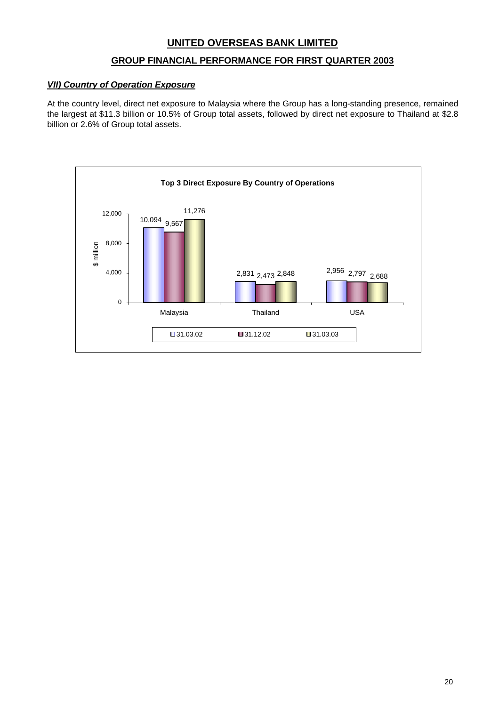## **GROUP FINANCIAL PERFORMANCE FOR FIRST QUARTER 2003**

## *VII) Country of Operation Exposure*

At the country level, direct net exposure to Malaysia where the Group has a long-standing presence, remained the largest at \$11.3 billion or 10.5% of Group total assets, followed by direct net exposure to Thailand at \$2.8 billion or 2.6% of Group total assets.

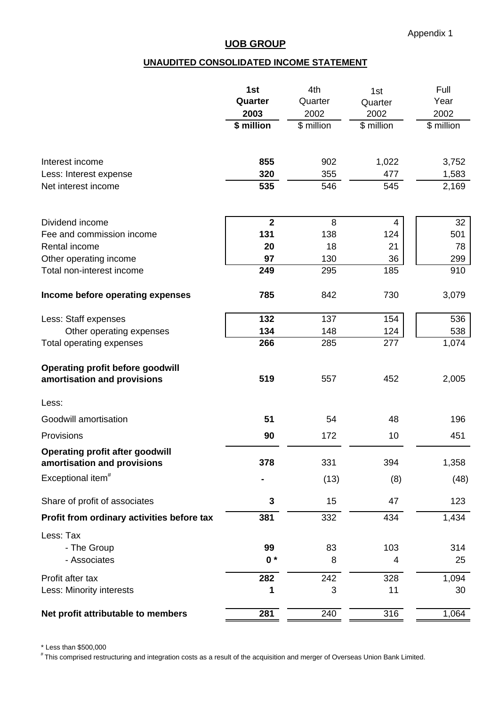# **UNAUDITED CONSOLIDATED INCOME STATEMENT**

|                                                                        | 1st            | 4th        | 1st        | Full       |
|------------------------------------------------------------------------|----------------|------------|------------|------------|
|                                                                        | Quarter        | Quarter    | Quarter    | Year       |
|                                                                        | 2003           | 2002       | 2002       | 2002       |
|                                                                        | \$ million     | \$ million | \$ million | \$ million |
| Interest income                                                        | 855            | 902        | 1,022      | 3,752      |
| Less: Interest expense                                                 | 320            | 355        | 477        | 1,583      |
| Net interest income                                                    | 535            | 546        | 545        | 2,169      |
| Dividend income                                                        | $\overline{2}$ | 8          | 4          | 32         |
| Fee and commission income                                              | 131            | 138        | 124        | 501        |
| Rental income                                                          | 20             | 18         | 21         | 78         |
| Other operating income                                                 | 97             | 130        | 36         | 299        |
| Total non-interest income                                              | 249            | 295        | 185        | 910        |
| Income before operating expenses                                       | 785            | 842        | 730        | 3,079      |
| Less: Staff expenses                                                   | 132            | 137        | 154        | 536        |
| Other operating expenses                                               | 134            | 148        | 124        | 538        |
| Total operating expenses                                               | 266            | 285        | 277        | 1,074      |
| <b>Operating profit before goodwill</b><br>amortisation and provisions | 519            | 557        | 452        | 2,005      |
| Less:                                                                  |                |            |            |            |
| Goodwill amortisation                                                  | 51             | 54         | 48         | 196        |
| Provisions                                                             | 90             | 172        | 10         | 451        |
| <b>Operating profit after goodwill</b><br>amortisation and provisions  | 378            | 331        | 394        | 1,358      |
| Exceptional item <sup>#</sup>                                          |                | (13)       | (8)        | (48)       |
| Share of profit of associates                                          | 3              | 15         | 47         | 123        |
| Profit from ordinary activities before tax                             | 381            | 332        | 434        | 1,434      |
| Less: Tax                                                              |                |            |            |            |
| - The Group                                                            | 99             | 83         | 103        | 314        |
| - Associates                                                           | $0*$           | 8          | 4          | 25         |
| Profit after tax                                                       | 282            | 242        | 328        | 1,094      |
| Less: Minority interests                                               | 1              | 3          | 11         | 30         |
| Net profit attributable to members                                     | 281            | 240        | 316        | 1,064      |

\* Less than \$500,000

# This comprised restructuring and integration costs as a result of the acquisition and merger of Overseas Union Bank Limited.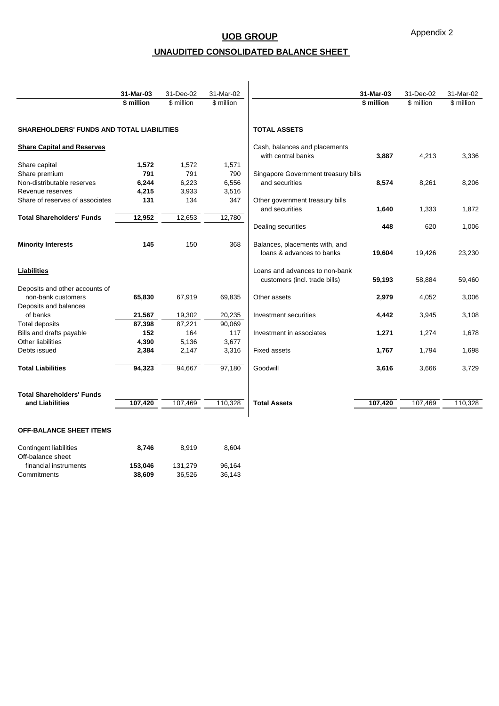Appendix 2

# **UNAUDITED CONSOLIDATED BALANCE SHEET**

|                                                  | 31-Mar-03  | 31-Dec-02  | 31-Mar-02  |                                     | 31-Mar-03  | 31-Dec-02  | 31-Mar-02  |
|--------------------------------------------------|------------|------------|------------|-------------------------------------|------------|------------|------------|
|                                                  | \$ million | \$ million | \$ million |                                     | \$ million | \$ million | \$ million |
|                                                  |            |            |            |                                     |            |            |            |
| <b>SHAREHOLDERS' FUNDS AND TOTAL LIABILITIES</b> |            |            |            | <b>TOTAL ASSETS</b>                 |            |            |            |
| <b>Share Capital and Reserves</b>                |            |            |            | Cash, balances and placements       |            |            |            |
|                                                  |            |            |            | with central banks                  | 3,887      | 4,213      | 3,336      |
| Share capital                                    | 1,572      | 1,572      | 1,571      |                                     |            |            |            |
| Share premium                                    | 791        | 791        | 790        | Singapore Government treasury bills |            |            |            |
| Non-distributable reserves                       | 6,244      | 6,223      | 6,556      | and securities                      | 8,574      | 8,261      | 8,206      |
| Revenue reserves                                 | 4,215      | 3,933      | 3,516      |                                     |            |            |            |
| Share of reserves of associates                  | 131        | 134        | 347        | Other government treasury bills     |            |            |            |
|                                                  |            |            |            | and securities                      | 1,640      | 1,333      | 1,872      |
| <b>Total Shareholders' Funds</b>                 | 12,952     | 12,653     | 12,780     |                                     |            |            |            |
|                                                  |            |            |            | Dealing securities                  | 448        | 620        | 1,006      |
| <b>Minority Interests</b>                        | 145        | 150        | 368        | Balances, placements with, and      |            |            |            |
|                                                  |            |            |            | loans & advances to banks           | 19,604     | 19,426     | 23,230     |
| Liabilities                                      |            |            |            | Loans and advances to non-bank      |            |            |            |
|                                                  |            |            |            | customers (incl. trade bills)       | 59,193     | 58,884     | 59,460     |
| Deposits and other accounts of                   |            |            |            |                                     |            |            |            |
| non-bank customers                               | 65,830     | 67,919     | 69,835     | Other assets                        | 2,979      | 4,052      | 3,006      |
| Deposits and balances                            |            |            |            |                                     |            |            |            |
| of banks                                         | 21,567     | 19,302     | 20,235     | Investment securities               | 4,442      | 3,945      | 3,108      |
| <b>Total deposits</b>                            | 87,398     | 87,221     | 90,069     |                                     |            |            |            |
| Bills and drafts payable                         | 152        | 164        | 117        | Investment in associates            | 1,271      | 1,274      | 1,678      |
| Other liabilities                                | 4,390      | 5,136      | 3,677      |                                     |            |            |            |
| Debts issued                                     | 2,384      | 2,147      | 3,316      | <b>Fixed assets</b>                 | 1,767      | 1,794      | 1,698      |
| <b>Total Liabilities</b>                         | 94,323     | 94,667     | 97,180     | Goodwill                            | 3,616      | 3,666      | 3,729      |
| <b>Total Shareholders' Funds</b>                 |            |            |            |                                     |            |            |            |
| and Liabilities                                  | 107,420    | 107,469    | 110,328    | <b>Total Assets</b>                 | 107,420    | 107,469    | 110,328    |
|                                                  |            |            |            |                                     |            |            |            |

#### **OFF-BALANCE SHEET ITEMS**

| 8.746   | 8.919   | 8.604  |
|---------|---------|--------|
|         |         |        |
| 153.046 | 131.279 | 96.164 |
| 38.609  | 36.526  | 36.143 |
|         |         |        |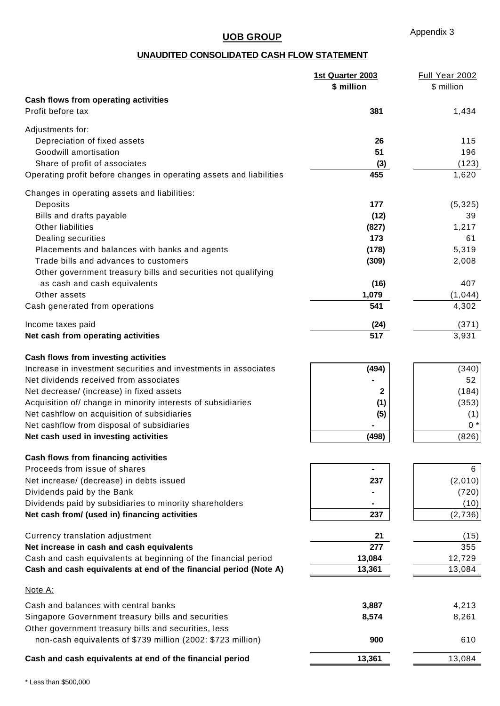# **UNAUDITED CONSOLIDATED CASH FLOW STATEMENT**

|                                                                     | 1st Quarter 2003<br>\$ million | Full Year 2002<br>\$ million |
|---------------------------------------------------------------------|--------------------------------|------------------------------|
|                                                                     |                                |                              |
| Cash flows from operating activities<br>Profit before tax           | 381                            |                              |
|                                                                     |                                | 1,434                        |
| Adjustments for:                                                    |                                |                              |
| Depreciation of fixed assets                                        | 26                             | 115                          |
| Goodwill amortisation                                               | 51                             | 196                          |
| Share of profit of associates                                       | (3)                            | (123)                        |
| Operating profit before changes in operating assets and liabilities | 455                            | 1,620                        |
| Changes in operating assets and liabilities:                        |                                |                              |
| Deposits                                                            | 177                            | (5, 325)                     |
| Bills and drafts payable                                            | (12)                           | 39                           |
| Other liabilities                                                   | (827)                          | 1,217                        |
| Dealing securities                                                  | 173                            | 61                           |
|                                                                     |                                |                              |
| Placements and balances with banks and agents                       | (178)                          | 5,319                        |
| Trade bills and advances to customers                               | (309)                          | 2,008                        |
| Other government treasury bills and securities not qualifying       |                                |                              |
| as cash and cash equivalents                                        | (16)                           | 407                          |
| Other assets                                                        | 1,079                          | (1, 044)                     |
| Cash generated from operations                                      | 541                            | 4,302                        |
| Income taxes paid                                                   | (24)                           | (371)                        |
| Net cash from operating activities                                  | 517                            | 3,931                        |
| Cash flows from investing activities                                |                                |                              |
| Increase in investment securities and investments in associates     | (494)                          | (340)                        |
| Net dividends received from associates                              |                                | 52                           |
| Net decrease/ (increase) in fixed assets                            | 2                              | (184)                        |
| Acquisition of/ change in minority interests of subsidiaries        | (1)                            | (353)                        |
| Net cashflow on acquisition of subsidiaries                         |                                | (1)                          |
| Net cashflow from disposal of subsidiaries                          | (5)                            | $0 *$                        |
|                                                                     |                                |                              |
| Net cash used in investing activities                               | (498)                          | (826)                        |
| <b>Cash flows from financing activities</b>                         |                                |                              |
| Proceeds from issue of shares                                       | $\blacksquare$                 | 6                            |
| Net increase/ (decrease) in debts issued                            | 237                            | (2,010)                      |
| Dividends paid by the Bank                                          |                                | (720)                        |
| Dividends paid by subsidiaries to minority shareholders             |                                | (10)                         |
| Net cash from/ (used in) financing activities                       | 237                            | (2,736)                      |
| Currency translation adjustment                                     | 21                             | (15)                         |
| Net increase in cash and cash equivalents                           | 277                            | 355                          |
| Cash and cash equivalents at beginning of the financial period      | 13,084                         | 12,729                       |
| Cash and cash equivalents at end of the financial period (Note A)   | 13,361                         | 13,084                       |
|                                                                     |                                |                              |
| Note A:                                                             |                                |                              |
| Cash and balances with central banks                                | 3,887                          | 4,213                        |
| Singapore Government treasury bills and securities                  | 8,574                          | 8,261                        |
| Other government treasury bills and securities, less                |                                |                              |
| non-cash equivalents of \$739 million (2002: \$723 million)         | 900                            | 610                          |
| Cash and cash equivalents at end of the financial period            | 13,361                         | 13,084                       |
|                                                                     |                                |                              |